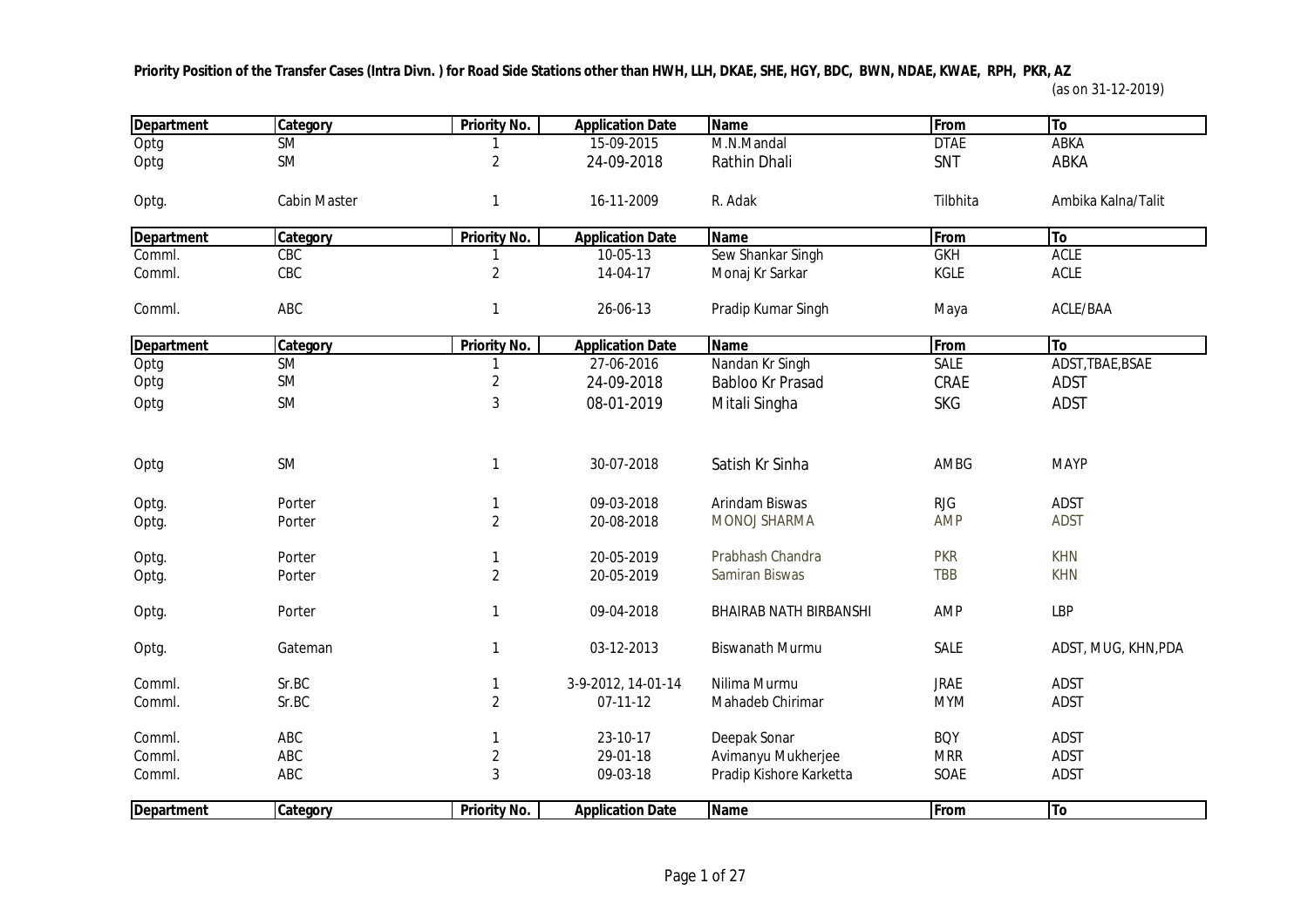**Priority Position of the Transfer Cases (Intra Divn. ) for Road Side Stations other than HWH, LLH, DKAE, SHE, HGY, BDC, BWN, NDAE, KWAE, RPH, PKR, AZ** 

| <b>Department</b> | Category               | <b>Priority No.</b> | <b>Application Date</b> | <b>Name</b>                   | From        | <b>To</b>           |
|-------------------|------------------------|---------------------|-------------------------|-------------------------------|-------------|---------------------|
| Optg              | $\overline{\text{SM}}$ |                     | 15-09-2015              | M.N.Mandal                    | <b>DTAE</b> | <b>ABKA</b>         |
| Optg              | SM                     | $\overline{2}$      | 24-09-2018              | Rathin Dhali                  | SNT         | ABKA                |
| Optg.             | <b>Cabin Master</b>    | 1                   | 16-11-2009              | R. Adak                       | Tilbhita    | Ambika Kalna/Talit  |
| <b>Department</b> | Category               | Priority No.        | <b>Application Date</b> | <b>Name</b>                   | From        | To                  |
| Comml.            | CBC                    |                     | 10-05-13                | Sew Shankar Singh             | <b>GKH</b>  | <b>ACLE</b>         |
| Comml.            | CBC                    | $\overline{2}$      | 14-04-17                | Monaj Kr Sarkar               | KGLE        | ACLE                |
| Comml.            | ABC                    |                     | 26-06-13                | Pradip Kumar Singh            | Maya        | ACLE/BAA            |
| <b>Department</b> | Category               | Priority No.        | <b>Application Date</b> | <b>Name</b>                   | From        | To                  |
| Optg              | $\overline{\text{SM}}$ |                     | 27-06-2016              | Nandan Kr Singh               | <b>SALE</b> | ADST, TBAE, BSAE    |
| Optg              | SM                     | $\overline{2}$      | 24-09-2018              | Babloo Kr Prasad              | CRAE        | <b>ADST</b>         |
| Optg              | <b>SM</b>              | 3                   | 08-01-2019              | Mitali Singha                 | <b>SKG</b>  | <b>ADST</b>         |
| Optg              | SM                     | 1                   | 30-07-2018              | Satish Kr Sinha               | AMBG        | <b>MAYP</b>         |
|                   |                        |                     |                         |                               |             |                     |
| Optg.             | Porter                 |                     | 09-03-2018              | Arindam Biswas                | <b>RJG</b>  | <b>ADST</b>         |
| Optg.             | Porter                 | $\overline{2}$      | 20-08-2018              | MONOJ SHARMA                  | <b>AMP</b>  | <b>ADST</b>         |
| Optg.             | Porter                 |                     | 20-05-2019              | Prabhash Chandra              | <b>PKR</b>  | <b>KHN</b>          |
| Optg.             | Porter                 | $\overline{2}$      | 20-05-2019              | Samiran Biswas                | <b>TBB</b>  | <b>KHN</b>          |
| Optg.             | Porter                 | 1                   | 09-04-2018              | <b>BHAIRAB NATH BIRBANSHI</b> | AMP         | <b>LBP</b>          |
| Optg.             | Gateman                | 1                   | 03-12-2013              | <b>Biswanath Murmu</b>        | SALE        | ADST, MUG, KHN, PDA |
| Comml.            | Sr.BC                  |                     | 3-9-2012, 14-01-14      | Nilima Murmu                  | <b>JRAE</b> | <b>ADST</b>         |
| Comml.            | Sr.BC                  | $\overline{2}$      | $07 - 11 - 12$          | Mahadeb Chirimar              | <b>MYM</b>  | <b>ADST</b>         |
| Comml.            | ABC                    |                     | 23-10-17                | Deepak Sonar                  | <b>BQY</b>  | <b>ADST</b>         |
| Comml.            | ABC                    | $\overline{2}$      | 29-01-18                | Avimanyu Mukherjee            | <b>MRR</b>  | <b>ADST</b>         |
| Comml.            | ABC                    | 3                   | 09-03-18                | Pradip Kishore Karketta       | SOAE        | <b>ADST</b>         |
| <b>Department</b> | Category               | Priority No.        | <b>Application Date</b> | <b>Name</b>                   | From        | To                  |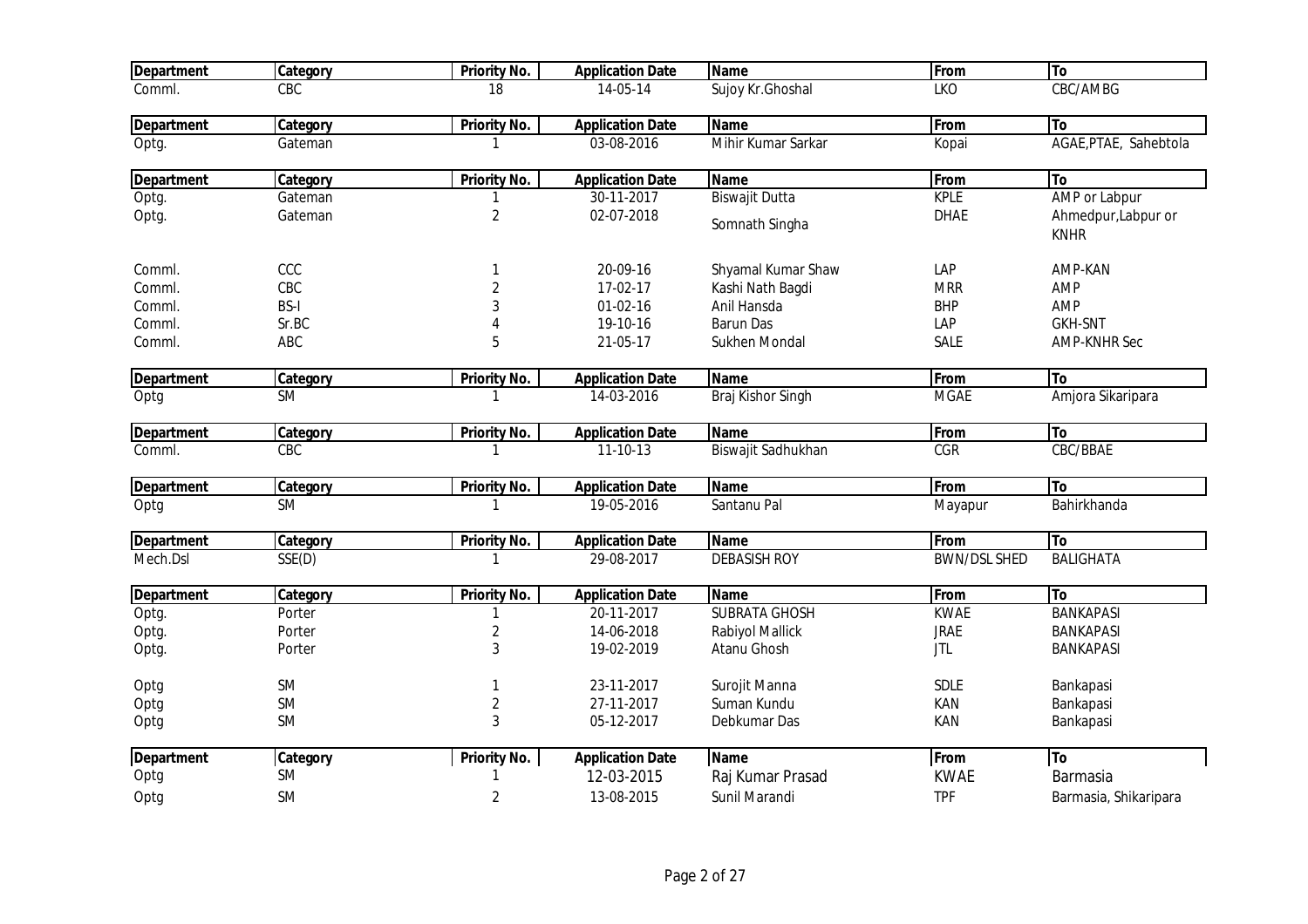| <b>Department</b> | Category    | <b>Priority No.</b> | <b>Application Date</b> | <b>Name</b>           | From                | <b>To</b>                          |
|-------------------|-------------|---------------------|-------------------------|-----------------------|---------------------|------------------------------------|
| Comml.            | CBC         | 18                  | 14-05-14                | Sujoy Kr. Ghoshal     | <b>LKO</b>          | CBC/AMBG                           |
| <b>Department</b> | Category    | <b>Priority No.</b> | <b>Application Date</b> | <b>Name</b>           | From                | To                                 |
| Optg.             | Gateman     |                     | 03-08-2016              | Mihir Kumar Sarkar    | Kopai               | AGAE, PTAE, Sahebtola              |
| <b>Department</b> | Category    | <b>Priority No.</b> | <b>Application Date</b> | <b>Name</b>           | From                | To                                 |
| Optg.             | Gateman     |                     | $30-11-2017$            | <b>Biswajit Dutta</b> | <b>KPLE</b>         | AMP or Labpur                      |
| Optg.             | Gateman     | 2                   | 02-07-2018              | Somnath Singha        | <b>DHAE</b>         | Ahmedpur, Labpur or<br><b>KNHR</b> |
| Comml.            | CCC         |                     | 20-09-16                | Shyamal Kumar Shaw    | LAP                 | AMP-KAN                            |
| Comml.            | CBC         | $\overline{2}$      | 17-02-17                | Kashi Nath Bagdi      | <b>MRR</b>          | AMP                                |
| Comml.            | <b>BS-I</b> | 3                   | $01-02-16$              | Anil Hansda           | <b>BHP</b>          | AMP                                |
| Comml.            | Sr.BC       |                     | 19-10-16                | <b>Barun Das</b>      | LAP                 | <b>GKH-SNT</b>                     |
| Comml.            | ABC         | 5                   | 21-05-17                | Sukhen Mondal         | <b>SALE</b>         | <b>AMP-KNHR Sec</b>                |
| <b>Department</b> | Category    | <b>Priority No.</b> | <b>Application Date</b> | <b>Name</b>           | From                | lTo                                |
| Optg              | <b>SM</b>   |                     | 14-03-2016              | Braj Kishor Singh     | <b>MGAE</b>         | Amjora Sikaripara                  |
| <b>Department</b> | Category    | <b>Priority No.</b> | <b>Application Date</b> | <b>Name</b>           | From                | To                                 |
| Comml.            | CBC         |                     | $11 - 10 - 13$          | Biswajit Sadhukhan    | <b>CGR</b>          | CBC/BBAE                           |
| <b>Department</b> | Category    | Priority No.        | <b>Application Date</b> | <b>Name</b>           | From                | To                                 |
| Optg              | <b>SM</b>   |                     | 19-05-2016              | Santanu Pal           | Mayapur             | Bahirkhanda                        |
| <b>Department</b> | Category    | Priority No.        | <b>Application Date</b> | <b>Name</b>           | From                | To                                 |
| Mech.Dsl          | SSE(D)      |                     | 29-08-2017              | <b>DEBASISH ROY</b>   | <b>BWN/DSL SHED</b> | <b>BALIGHATA</b>                   |
| <b>Department</b> | Category    | <b>Priority No.</b> | <b>Application Date</b> | <b>Name</b>           | From                | <b>To</b>                          |
| Optg.             | Porter      |                     | 20-11-2017              | <b>SUBRATA GHOSH</b>  | <b>KWAE</b>         | <b>BANKAPASI</b>                   |
| Optg.             | Porter      | 2                   | 14-06-2018              | Rabiyol Mallick       | <b>JRAE</b>         | <b>BANKAPASI</b>                   |
| Optg.             | Porter      | 3                   | 19-02-2019              | Atanu Ghosh           | <b>JTL</b>          | <b>BANKAPASI</b>                   |
| Optg              | SM          |                     | 23-11-2017              | Surojit Manna         | SDLE                | Bankapasi                          |
| Optg              | SM          | 2                   | 27-11-2017              | Suman Kundu           | KAN                 | Bankapasi                          |
| Optg              | SM          | 3                   | 05-12-2017              | Debkumar Das          | KAN                 | Bankapasi                          |
| <b>Department</b> | Category    | <b>Priority No.</b> | <b>Application Date</b> | <b>Name</b>           | From                | <b>To</b>                          |
| Optg              | SM          |                     | 12-03-2015              | Raj Kumar Prasad      | <b>KWAE</b>         | <b>Barmasia</b>                    |
| Optg              | <b>SM</b>   | 2                   | 13-08-2015              | Sunil Marandi         | <b>TPF</b>          | Barmasia, Shikaripara              |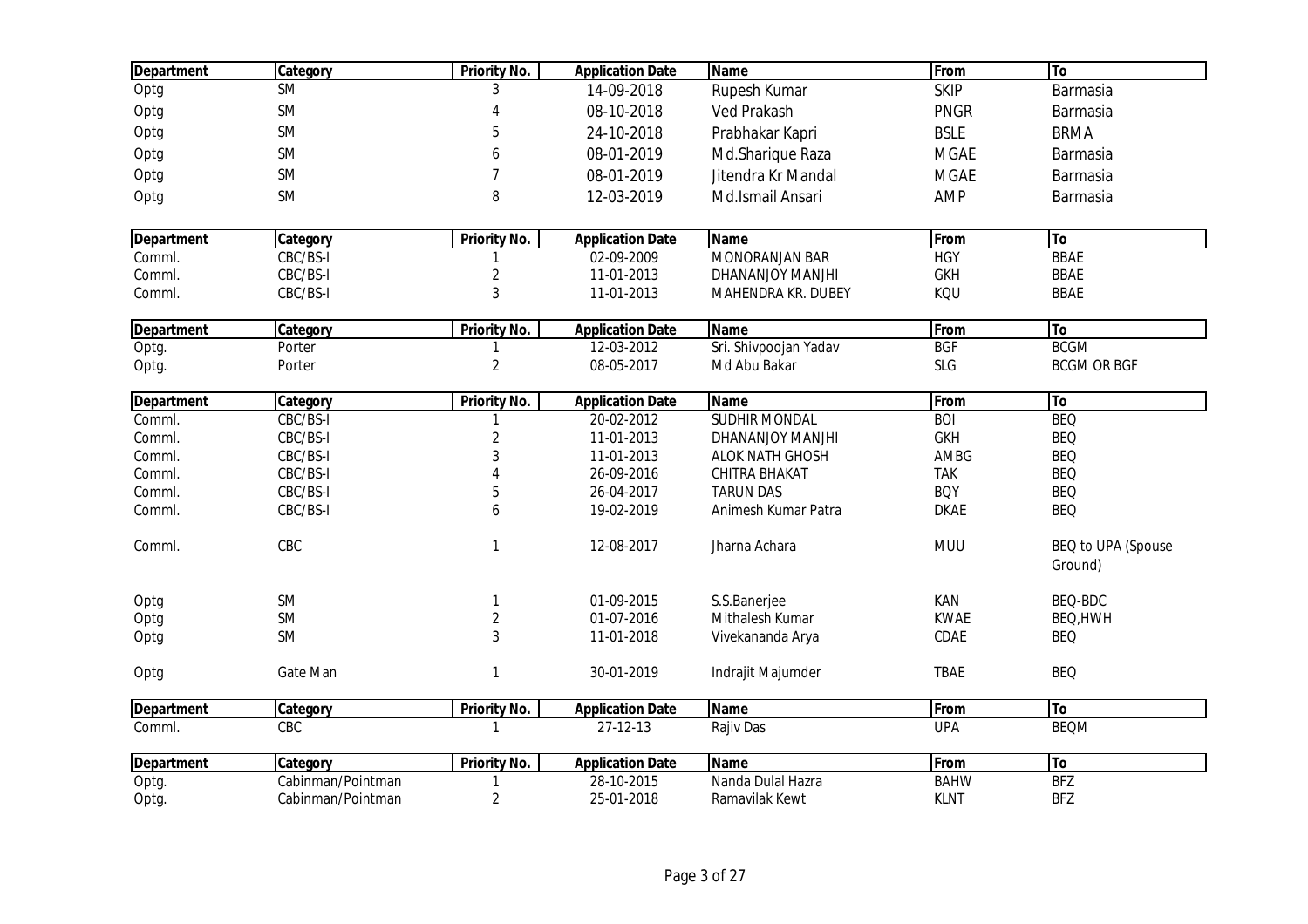| <b>Department</b> | Category          | <b>Priority No.</b> | <b>Application Date</b> | <b>Name</b>           | From        | To                 |
|-------------------|-------------------|---------------------|-------------------------|-----------------------|-------------|--------------------|
| Optg              | <b>SM</b>         | 3                   | 14-09-2018              | Rupesh Kumar          | <b>SKIP</b> | Barmasia           |
| Optg              | <b>SM</b>         | 4                   | 08-10-2018              | <b>Ved Prakash</b>    | <b>PNGR</b> | Barmasia           |
| Optg              | <b>SM</b>         | 5                   | 24-10-2018              | Prabhakar Kapri       | <b>BSLE</b> | <b>BRMA</b>        |
| Optg              | <b>SM</b>         | 6                   | 08-01-2019              | Md.Sharique Raza      | <b>MGAE</b> | Barmasia           |
| Optg              | <b>SM</b>         | $\overline{7}$      | 08-01-2019              | Jitendra Kr Mandal    | <b>MGAE</b> | Barmasia           |
|                   | <b>SM</b>         | 8                   | 12-03-2019              | Md.Ismail Ansari      |             |                    |
| Optg              |                   |                     |                         |                       | AMP         | Barmasia           |
| <b>Department</b> | Category          | <b>Priority No.</b> | <b>Application Date</b> | <b>Name</b>           | From        | To                 |
| Comml.            | CBC/BS-I          |                     | 02-09-2009              | <b>MONORANJAN BAR</b> | <b>HGY</b>  | <b>BBAE</b>        |
| Comml.            | CBC/BS-I          | $\overline{c}$      | 11-01-2013              | DHANANJOY MANJHI      | <b>GKH</b>  | <b>BBAE</b>        |
| Comml.            | CBC/BS-I          | 3                   | 11-01-2013              | MAHENDRA KR. DUBEY    | KQU         | <b>BBAE</b>        |
| <b>Department</b> | Category          | <b>Priority No.</b> | <b>Application Date</b> | Name                  | From        | T <sub>o</sub>     |
| Optg.             | Porter            |                     | 12-03-2012              | Sri. Shivpoojan Yadav | <b>BGF</b>  | <b>BCGM</b>        |
| Optg.             | Porter            | $\overline{2}$      | 08-05-2017              | Md Abu Bakar          | SLG         | <b>BCGM OR BGF</b> |
|                   |                   |                     |                         |                       |             |                    |
| <b>Department</b> | Category          | <b>Priority No.</b> | <b>Application Date</b> | <b>Name</b>           | From        | To                 |
| Comml.            | CBC/BS-I          |                     | 20-02-2012              | <b>SUDHIR MONDAL</b>  | <b>BOI</b>  | <b>BEQ</b>         |
| Comml.            | CBC/BS-I          | $\overline{c}$      | 11-01-2013              | DHANANJOY MANJHI      | <b>GKH</b>  | <b>BEQ</b>         |
| Comml.            | CBC/BS-I          | 3                   | 11-01-2013              | ALOK NATH GHOSH       | AMBG        | <b>BEQ</b>         |
| Comml.            | CBC/BS-I          | $\overline{4}$      | 26-09-2016              | CHITRA BHAKAT         | <b>TAK</b>  | <b>BEQ</b>         |
| Comml.            | CBC/BS-I          | 5                   | 26-04-2017              | <b>TARUN DAS</b>      | <b>BQY</b>  | <b>BEQ</b>         |
| Comml.            | CBC/BS-I          | 6                   | 19-02-2019              | Animesh Kumar Patra   | <b>DKAE</b> | <b>BEQ</b>         |
| Comml.            | CBC               | $\mathbf{1}$        | 12-08-2017              | Jharna Achara         | <b>MUU</b>  | BEQ to UPA (Spouse |
|                   |                   |                     |                         |                       |             | Ground)            |
| Optg              | <b>SM</b>         | 1                   | 01-09-2015              | S.S.Banerjee          | KAN         | BEQ-BDC            |
| Optg              | <b>SM</b>         | $\overline{2}$      | 01-07-2016              | Mithalesh Kumar       | <b>KWAE</b> | BEQ, HWH           |
| Optg              | <b>SM</b>         | 3                   | 11-01-2018              | Vivekananda Arya      | CDAE        | <b>BEQ</b>         |
| Optg              | Gate Man          | 1                   | 30-01-2019              | Indrajit Majumder     | <b>TBAE</b> | <b>BEQ</b>         |
| <b>Department</b> | Category          | <b>Priority No.</b> | <b>Application Date</b> | <b>Name</b>           | From        | To                 |
| Comml.            | CBC               | 1                   | 27-12-13                | Rajiv Das             | <b>UPA</b>  | <b>BEQM</b>        |
| <b>Department</b> | Category          | <b>Priority No.</b> | <b>Application Date</b> | <b>Name</b>           | From        | To                 |
| Optg.             | Cabinman/Pointman |                     | 28-10-2015              | Nanda Dulal Hazra     | <b>BAHW</b> | <b>BFZ</b>         |
| Optg.             | Cabinman/Pointman | $\overline{2}$      | 25-01-2018              | Ramavilak Kewt        | <b>KLNT</b> | <b>BFZ</b>         |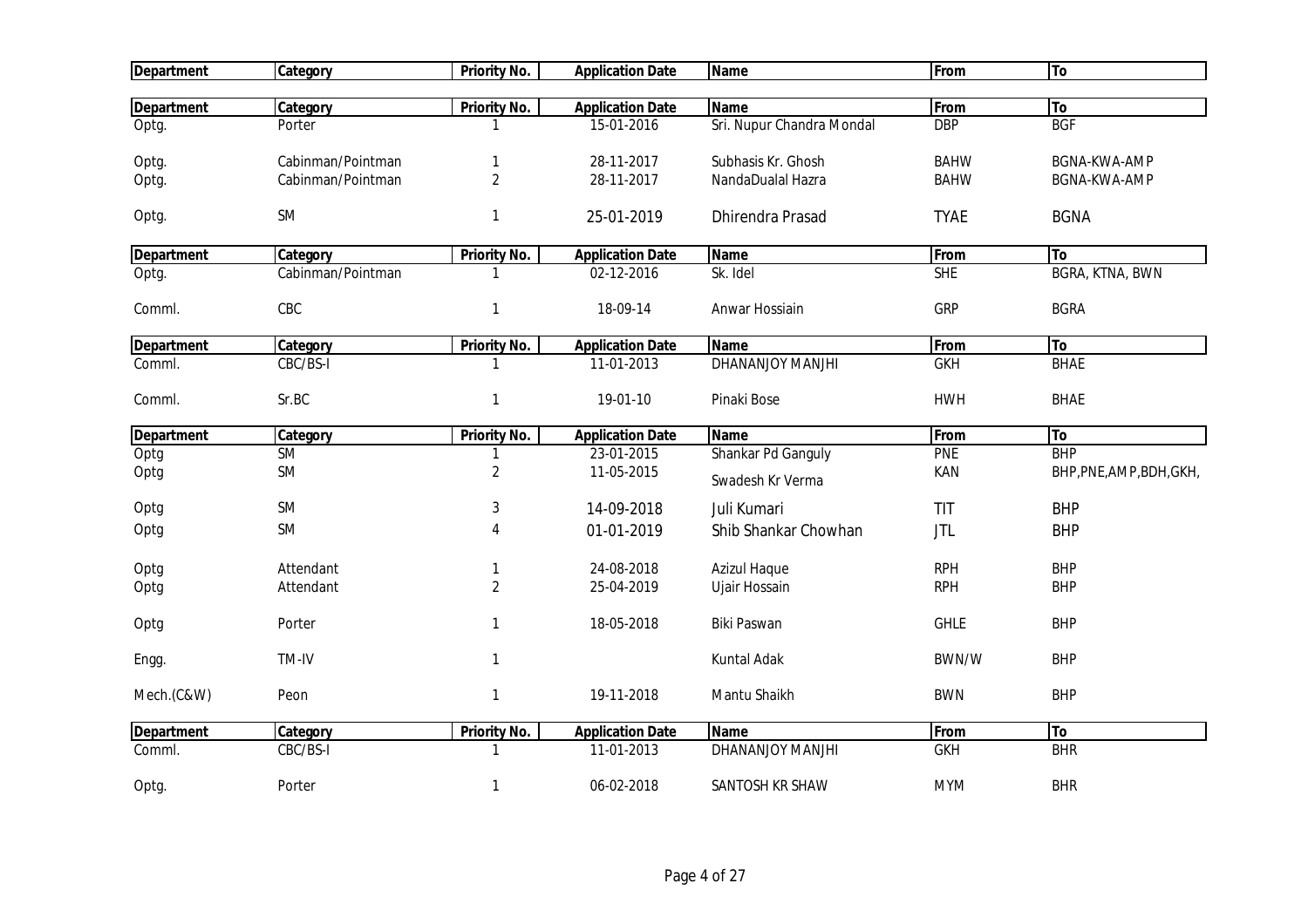| <b>Department</b> | <b>Category</b>        | Priority No.        | <b>Application Date</b>  | <b>Name</b>                          | From                     | To                       |
|-------------------|------------------------|---------------------|--------------------------|--------------------------------------|--------------------------|--------------------------|
|                   |                        |                     |                          |                                      |                          |                          |
| <b>Department</b> | Category               | <b>Priority No.</b> | <b>Application Date</b>  | <b>Name</b>                          | From                     | To                       |
| Optg.             | Porter                 |                     | 15-01-2016               | Sri. Nupur Chandra Mondal            | <b>DBP</b>               | <b>BGF</b>               |
| Optg.             | Cabinman/Pointman      | 1                   | 28-11-2017               | Subhasis Kr. Ghosh                   | <b>BAHW</b>              | <b>BGNA-KWA-AMP</b>      |
| Optg.             | Cabinman/Pointman      | $\overline{2}$      | 28-11-2017               | NandaDualal Hazra                    | <b>BAHW</b>              | BGNA-KWA-AMP             |
| Optg.             | SM                     | $\mathbf{1}$        | 25-01-2019               | <b>Dhirendra Prasad</b>              | <b>TYAE</b>              | <b>BGNA</b>              |
| <b>Department</b> | Category               | <b>Priority No.</b> | <b>Application Date</b>  | <b>Name</b>                          | From                     | To                       |
| Optg.             | Cabinman/Pointman      |                     | 02-12-2016               | Sk. Idel                             | <b>SHE</b>               | <b>BGRA, KTNA, BWN</b>   |
| Comml.            | CBC                    | 1                   | 18-09-14                 | Anwar Hossiain                       | <b>GRP</b>               | <b>BGRA</b>              |
| <b>Department</b> | Category               | <b>Priority No.</b> | <b>Application Date</b>  | <b>Name</b>                          | <b>From</b>              | To                       |
| Comml.            | CBC/BS-I               |                     | 11-01-2013               | <b>DHANANJOY MANJHI</b>              | <b>GKH</b>               | <b>BHAE</b>              |
| Comml.            | Sr.BC                  | $\mathbf{1}$        | 19-01-10                 | Pinaki Bose                          | <b>HWH</b>               | <b>BHAE</b>              |
| <b>Department</b> | Category               | <b>Priority No.</b> | <b>Application Date</b>  | <b>Name</b>                          | From                     | To                       |
| Optg              | <b>SM</b>              |                     | 23-01-2015               | Shankar Pd Ganguly                   | <b>PNE</b>               | <b>BHP</b>               |
| Optg              | SM                     | $\sqrt{2}$          | 11-05-2015               | Swadesh Kr Verma                     | KAN                      | BHP, PNE, AMP, BDH, GKH, |
| Optg              | <b>SM</b>              | 3                   | 14-09-2018               | Juli Kumari                          | TIT                      | <b>BHP</b>               |
| Optg              | SM                     | 4                   | 01-01-2019               | Shib Shankar Chowhan                 | <b>JTL</b>               | <b>BHP</b>               |
| Optg              |                        |                     |                          |                                      |                          |                          |
|                   |                        |                     |                          |                                      |                          |                          |
| Optg              | Attendant<br>Attendant | $\overline{2}$      | 24-08-2018<br>25-04-2019 | <b>Azizul Haque</b><br>Ujair Hossain | <b>RPH</b><br><b>RPH</b> | <b>BHP</b><br><b>BHP</b> |
| Optg              | Porter                 | $\mathbf{1}$        | 18-05-2018               | Biki Paswan                          | <b>GHLE</b>              | <b>BHP</b>               |
| Engg.             | TM-IV                  | $\mathbf{1}$        |                          | Kuntal Adak                          | BWN/W                    | <b>BHP</b>               |
| Mech.(C&W)        | Peon                   | $\mathbf{1}$        | 19-11-2018               | Mantu Shaikh                         | <b>BWN</b>               | <b>BHP</b>               |
| <b>Department</b> | Category               | <b>Priority No.</b> | <b>Application Date</b>  | <b>Name</b>                          | From                     | To                       |
| Comml.            | CBC/BS-I               | 1                   | 11-01-2013               | DHANANJOY MANJHI                     | <b>GKH</b>               | <b>BHR</b>               |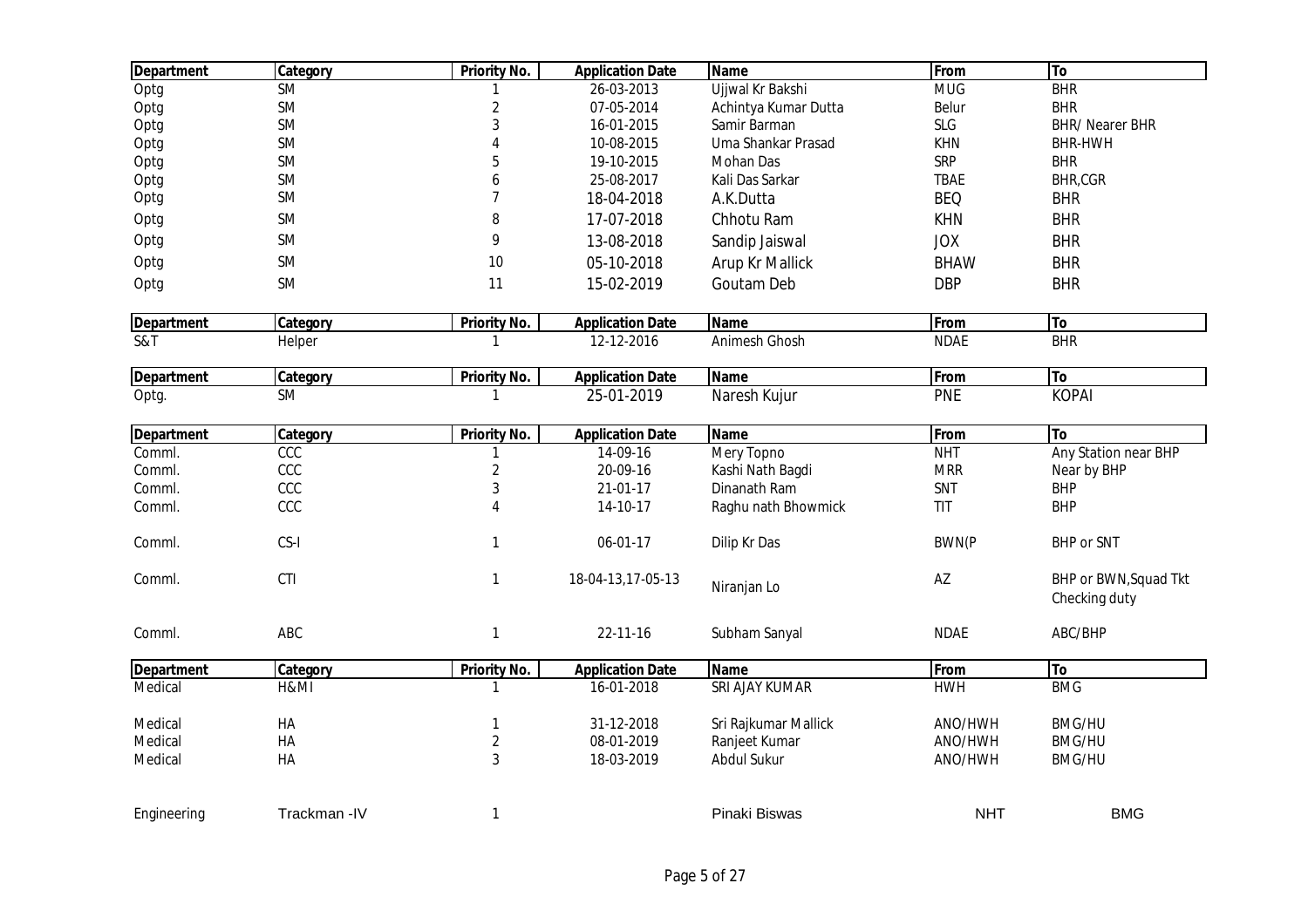| <b>Department</b> | Category    | <b>Priority No.</b>     | <b>Application Date</b> | <b>Name</b>          | From         | To                                     |
|-------------------|-------------|-------------------------|-------------------------|----------------------|--------------|----------------------------------------|
| Optg              | SM          |                         | 26-03-2013              | Ujjwal Kr Bakshi     | <b>MUG</b>   | BHR                                    |
| Optg              | SM          | $\overline{c}$          | 07-05-2014              | Achintya Kumar Dutta | Belur        | <b>BHR</b>                             |
| Optg              | <b>SM</b>   | 3                       | 16-01-2015              | Samir Barman         | <b>SLG</b>   | <b>BHR/ Nearer BHR</b>                 |
| Optg              | SM          | $\overline{4}$          | 10-08-2015              | Uma Shankar Prasad   | <b>KHN</b>   | <b>BHR-HWH</b>                         |
| Optg              | SM          | 5                       | 19-10-2015              | Mohan Das            | SRP          | <b>BHR</b>                             |
| Optg              | SM          | 6                       | 25-08-2017              | Kali Das Sarkar      | <b>TBAE</b>  | BHR,CGR                                |
| Optg              | SM          | $\overline{7}$          | 18-04-2018              | A.K.Dutta            | <b>BEQ</b>   | <b>BHR</b>                             |
| Optg              | SM          | 8                       | 17-07-2018              | Chhotu Ram           | <b>KHN</b>   | <b>BHR</b>                             |
| Optg              | SM          | 9                       | 13-08-2018              | Sandip Jaiswal       | <b>JOX</b>   | <b>BHR</b>                             |
| Optg              | SM          | 10                      | 05-10-2018              | Arup Kr Mallick      | <b>BHAW</b>  | <b>BHR</b>                             |
| Optg              | <b>SM</b>   | 11                      | 15-02-2019              | Goutam Deb           | <b>DBP</b>   | <b>BHR</b>                             |
| <b>Department</b> | Category    | <b>Priority No.</b>     | <b>Application Date</b> | <b>Name</b>          | From         | To                                     |
| S&T               | Helper      | 1                       | 12-12-2016              | Animesh Ghosh        | <b>NDAE</b>  | BHR                                    |
| <b>Department</b> | Category    | <b>Priority No.</b>     | <b>Application Date</b> | <b>Name</b>          | From         | To                                     |
| Optg.             | <b>SM</b>   |                         | 25-01-2019              | Naresh Kujur         | <b>PNE</b>   | <b>KOPAI</b>                           |
| <b>Department</b> | Category    | <b>Priority No.</b>     | <b>Application Date</b> | <b>Name</b>          | From         | To                                     |
| Comml.            | CCC         |                         | 14-09-16                | Mery Topno           | <b>NHT</b>   | Any Station near BHP                   |
| Comml.            | CCC         | $\overline{c}$          | 20-09-16                | Kashi Nath Bagdi     | <b>MRR</b>   | Near by BHP                            |
| Comml.            | CCC         | 3                       | 21-01-17                | Dinanath Ram         | SNT          | <b>BHP</b>                             |
| Comml.            | CCC         | $\overline{4}$          | 14-10-17                | Raghu nath Bhowmick  | TIT          | <b>BHP</b>                             |
| Comml.            | CS-I        | 1                       | 06-01-17                | Dilip Kr Das         | <b>BWN(P</b> | <b>BHP</b> or SNT                      |
| Comml.            | CTI         | 1                       | 18-04-13,17-05-13       | Niranjan Lo          | AZ           | BHP or BWN, Squad Tkt<br>Checking duty |
| Comml.            | ABC         | 1                       | 22-11-16                | Subham Sanyal        | <b>NDAE</b>  | ABC/BHP                                |
| <b>Department</b> | Category    | <b>Priority No.</b>     | <b>Application Date</b> | <b>Name</b>          | From         | To                                     |
| Medical           | H&MI        | 1                       | 16-01-2018              | SRI AJAY KUMAR       | <b>HWH</b>   | <b>BMG</b>                             |
| Medical           | HA          | 1                       | 31-12-2018              | Sri Rajkumar Mallick | ANO/HWH      | <b>BMG/HU</b>                          |
| Medical           | HA          | $\overline{\mathbf{c}}$ | 08-01-2019              | Ranjeet Kumar        | ANO/HWH      | <b>BMG/HU</b>                          |
| Medical           | HA          | 3                       | 18-03-2019              | Abdul Sukur          | ANO/HWH      | <b>BMG/HU</b>                          |
| Engineering       | Trackman-IV | 1                       |                         | Pinaki Biswas        | <b>NHT</b>   | <b>BMG</b>                             |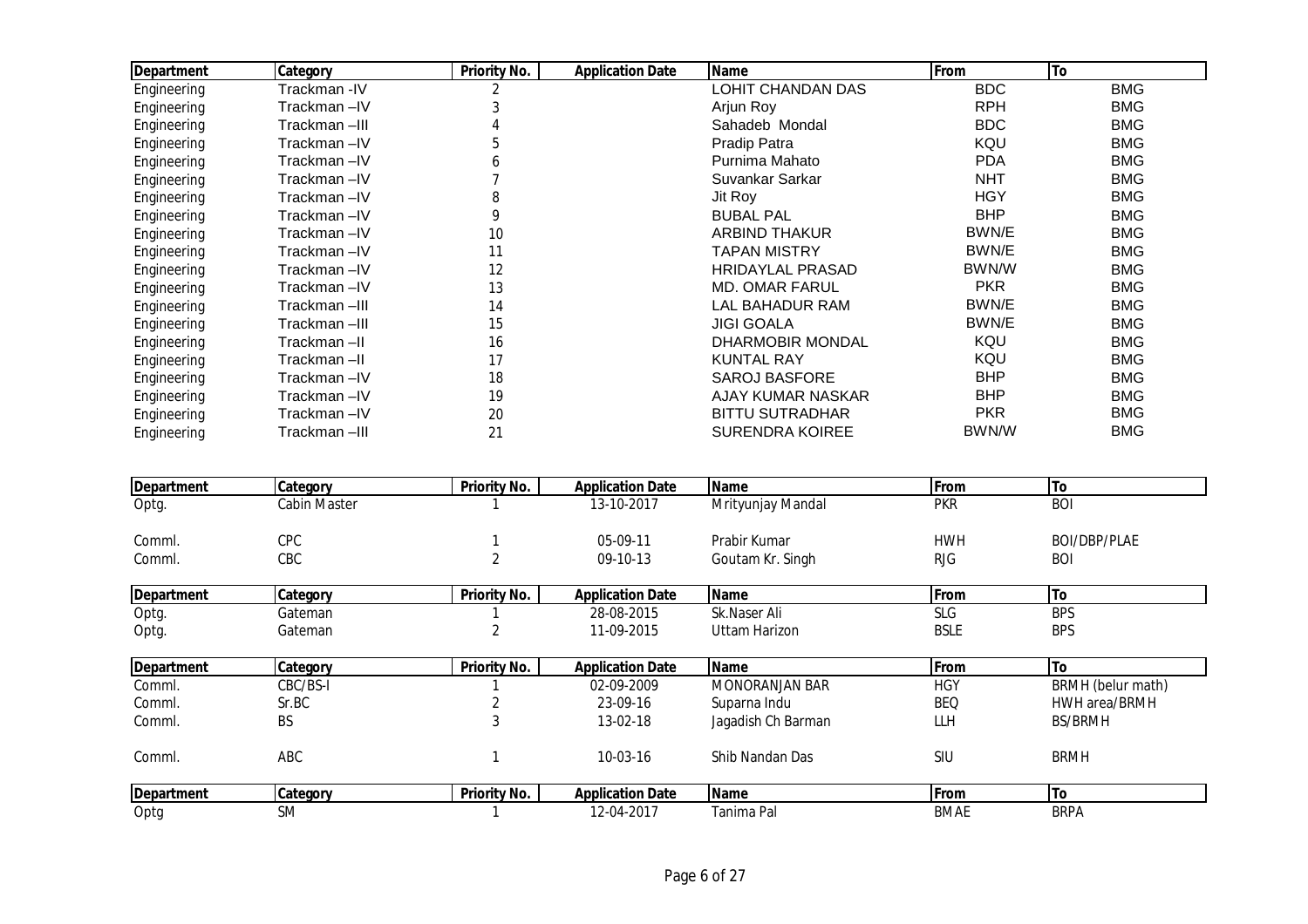| <b>Department</b> | Category     | <b>Priority No.</b> | <b>Application Date</b> | <b>Name</b>              | From       | To         |
|-------------------|--------------|---------------------|-------------------------|--------------------------|------------|------------|
| Engineering       | Trackman-IV  |                     |                         | LOHIT CHANDAN DAS        | <b>BDC</b> | <b>BMG</b> |
| Engineering       | Trackman-IV  |                     |                         | Arjun Roy                | <b>RPH</b> | <b>BMG</b> |
| Engineering       | Trackman-III |                     |                         | Sahadeb Mondal           | <b>BDC</b> | <b>BMG</b> |
| Engineering       | Trackman-IV  | 5                   |                         | Pradip Patra             | KQU        | <b>BMG</b> |
| Engineering       | Trackman-IV  | 6                   |                         | Purnima Mahato           | <b>PDA</b> | <b>BMG</b> |
| Engineering       | Trackman-IV  |                     |                         | Suvankar Sarkar          | <b>NHT</b> | <b>BMG</b> |
| Engineering       | Trackman-IV  | 8                   |                         | Jit Roy                  | <b>HGY</b> | <b>BMG</b> |
| Engineering       | Trackman-IV  | 9                   |                         | <b>BUBAL PAL</b>         | <b>BHP</b> | <b>BMG</b> |
| Engineering       | Trackman-IV  | 10                  |                         | <b>ARBIND THAKUR</b>     | BWN/E      | <b>BMG</b> |
| Engineering       | Trackman-IV  | 11                  |                         | <b>TAPAN MISTRY</b>      | BWN/E      | <b>BMG</b> |
| Engineering       | Trackman-IV  | 12                  |                         | <b>HRIDAYLAL PRASAD</b>  | BWN/W      | <b>BMG</b> |
| Engineering       | Trackman-IV  | 13                  |                         | <b>MD. OMAR FARUL</b>    | <b>PKR</b> | <b>BMG</b> |
| Engineering       | Trackman-III | 14                  |                         | LAL BAHADUR RAM          | BWN/E      | <b>BMG</b> |
| Engineering       | Trackman-III | 15                  |                         | <b>JIGI GOALA</b>        | BWN/E      | <b>BMG</b> |
| Engineering       | Trackman-II  | 16                  |                         | DHARMOBIR MONDAL         | KQU        | <b>BMG</b> |
| Engineering       | Trackman-II  | 17                  |                         | <b>KUNTAL RAY</b>        | KQU        | <b>BMG</b> |
| Engineering       | Trackman-IV  | 18                  |                         | <b>SAROJ BASFORE</b>     | <b>BHP</b> | <b>BMG</b> |
| Engineering       | Trackman-IV  | 19                  |                         | <b>AJAY KUMAR NASKAR</b> | <b>BHP</b> | <b>BMG</b> |
| Engineering       | Trackman-IV  | 20                  |                         | <b>BITTU SUTRADHAR</b>   | <b>PKR</b> | <b>BMG</b> |
| Engineering       | Trackman-III | 21                  |                         | <b>SURENDRA KOIREE</b>   | BWN/W      | <b>BMG</b> |

| <b>Department</b> | <b>Category</b> | Priority No.        | <b>Application Date</b> | <b>Name</b>           | From        | To                   |
|-------------------|-----------------|---------------------|-------------------------|-----------------------|-------------|----------------------|
| Optg.             | Cabin Master    |                     | 13-10-2017              | Mrityunjay Mandal     | <b>PKR</b>  | <b>BOI</b>           |
| Comml.            | CPC             |                     | 05-09-11                | Prabir Kumar          | <b>HWH</b>  | BOI/DBP/PLAE         |
| Comml.            | <b>CBC</b>      |                     | 09-10-13                | Goutam Kr. Singh      | <b>RJG</b>  | <b>BOI</b>           |
| <b>Department</b> | <b>Category</b> | <b>Priority No.</b> | <b>Application Date</b> | <b>Name</b>           | From        | To                   |
| Optg.             | Gateman         |                     | 28-08-2015              | Sk.Naser Ali          | <b>SLG</b>  | <b>BPS</b>           |
| Optg.             | Gateman         | 2                   | 11-09-2015              | Uttam Harizon         | <b>BSLE</b> | <b>BPS</b>           |
| <b>Department</b> | Category        | <b>Priority No.</b> | <b>Application Date</b> | <b>Name</b>           | From        | To                   |
| Comml.            | CBC/BS-I        |                     | 02-09-2009              | <b>MONORANJAN BAR</b> | <b>HGY</b>  | BRMH (belur math)    |
| Comml.            | Sr.BC           |                     | 23-09-16                | Suparna Indu          | <b>BEQ</b>  | <b>HWH area/BRMH</b> |
| Comml.            | <b>BS</b>       | 3                   | 13-02-18                | Jagadish Ch Barman    | LLH         | BS/BRMH              |
| Comml.            | ABC             |                     | 10-03-16                | Shib Nandan Das       | SIU         | <b>BRMH</b>          |
| Department        | Category        | <b>Priority No.</b> | <b>Application Date</b> | <b>Name</b>           | From        | To                   |
| Optg              | <b>SM</b>       |                     | 12-04-2017              | Tanima Pal            | <b>BMAE</b> | <b>BRPA</b>          |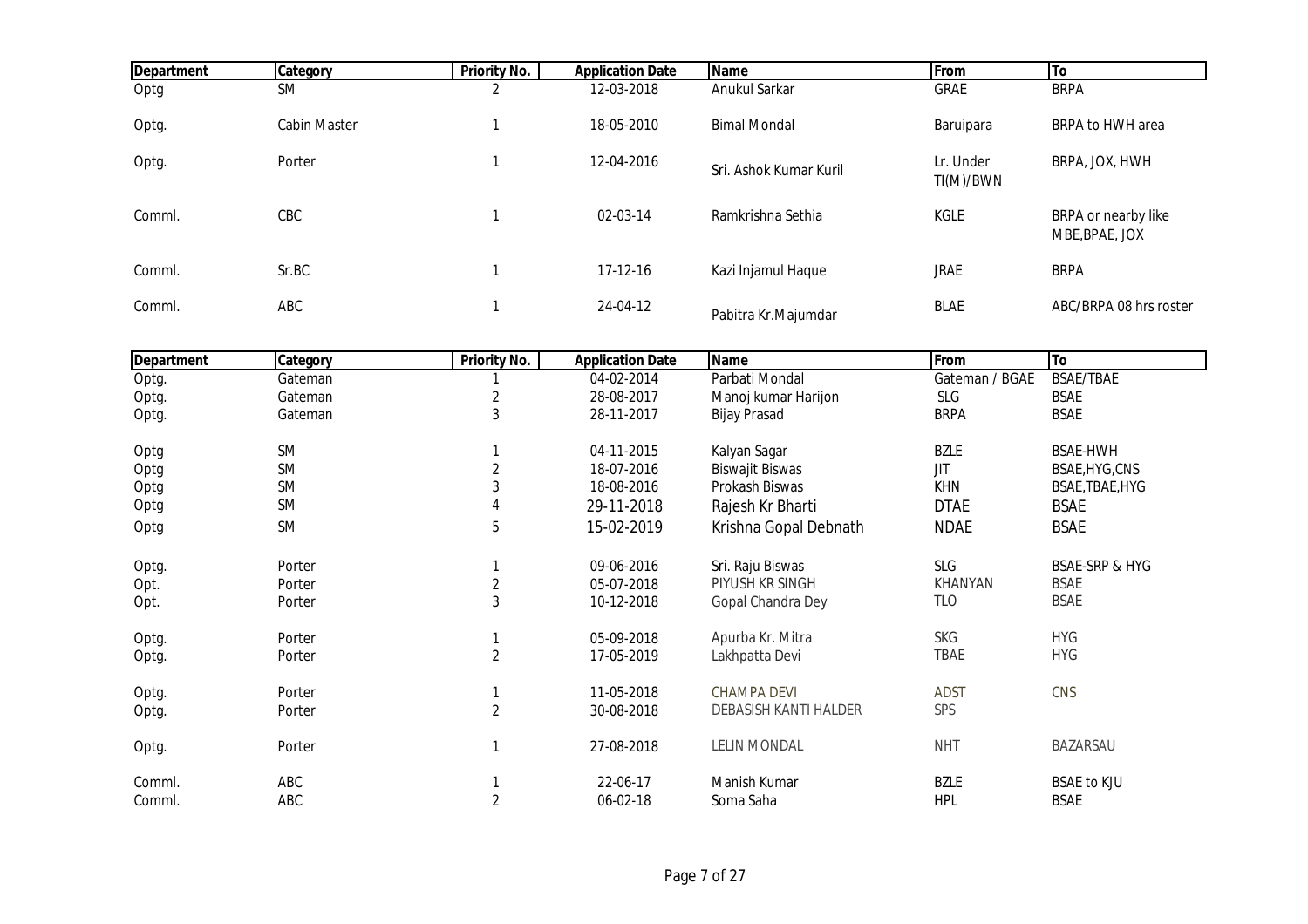| Department | Category     | <b>Priority No.</b> | <b>Application Date</b> | <b>Name</b>            | From                   | <b>To</b>                             |
|------------|--------------|---------------------|-------------------------|------------------------|------------------------|---------------------------------------|
| Optg       | <b>SM</b>    | ົ                   | 12-03-2018              | Anukul Sarkar          | <b>GRAE</b>            | <b>BRPA</b>                           |
| Optg.      | Cabin Master |                     | 18-05-2010              | <b>Bimal Mondal</b>    | Baruipara              | BRPA to HWH area                      |
| Optg.      | Porter       |                     | 12-04-2016              | Sri. Ashok Kumar Kuril | Lr. Under<br>TI(M)/BWN | BRPA, JOX, HWH                        |
| Comml.     | CBC          |                     | 02-03-14                | Ramkrishna Sethia      | <b>KGLE</b>            | BRPA or nearby like<br>MBE, BPAE, JOX |
| Comml.     | Sr.BC        |                     | 17-12-16                | Kazi Injamul Haque     | <b>JRAE</b>            | <b>BRPA</b>                           |
| Comml.     | ABC          |                     | 24-04-12                | Pabitra Kr.Majumdar    | <b>BLAE</b>            | ABC/BRPA 08 hrs roster                |

| Department | Category  | <b>Priority No.</b> | <b>Application Date</b> | <b>Name</b>            | From           | To                        |
|------------|-----------|---------------------|-------------------------|------------------------|----------------|---------------------------|
| Optg.      | Gateman   |                     | 04-02-2014              | Parbati Mondal         | Gateman / BGAE | BSAE/TBAE                 |
| Optg.      | Gateman   | 2                   | 28-08-2017              | Manoj kumar Harijon    | SLG            | <b>BSAE</b>               |
| Optg.      | Gateman   | 3                   | 28-11-2017              | <b>Bijay Prasad</b>    | <b>BRPA</b>    | <b>BSAE</b>               |
| Optg       | <b>SM</b> |                     | 04-11-2015              | Kalyan Sagar           | <b>BZLE</b>    | <b>BSAE-HWH</b>           |
| Optg       | <b>SM</b> | $\overline{2}$      | 18-07-2016              | <b>Biswajit Biswas</b> | <b>JIT</b>     | BSAE, HYG, CNS            |
| Optg       | <b>SM</b> | 3                   | 18-08-2016              | Prokash Biswas         | <b>KHN</b>     | BSAE, TBAE, HYG           |
| Optg       | <b>SM</b> |                     | 29-11-2018              | Rajesh Kr Bharti       | <b>DTAE</b>    | <b>BSAE</b>               |
| Optg       | <b>SM</b> | 5                   | 15-02-2019              | Krishna Gopal Debnath  | <b>NDAE</b>    | <b>BSAE</b>               |
| Optg.      | Porter    |                     | 09-06-2016              | Sri. Raju Biswas       | SLG            | <b>BSAE-SRP &amp; HYG</b> |
| Opt.       | Porter    | $\sqrt{2}$          | 05-07-2018              | PIYUSH KR SINGH        | KHANYAN        | BSAE                      |
| Opt.       | Porter    | 3                   | 10-12-2018              | Gopal Chandra Dey      | <b>TLO</b>     | <b>BSAE</b>               |
| Optg.      | Porter    |                     | 05-09-2018              | Apurba Kr. Mitra       | <b>SKG</b>     | <b>HYG</b>                |
| Optg.      | Porter    | $\overline{2}$      | 17-05-2019              | Lakhpatta Devi         | <b>TBAE</b>    | <b>HYG</b>                |
| Optg.      | Porter    |                     | 11-05-2018              | <b>CHAMPA DEVI</b>     | <b>ADST</b>    | CNS                       |
| Optg.      | Porter    | $\overline{2}$      | 30-08-2018              | DEBASISH KANTI HALDER  | SPS            |                           |
| Optg.      | Porter    | -1                  | 27-08-2018              | <b>LELIN MONDAL</b>    | <b>NHT</b>     | BAZARSAU                  |
| Comml.     | ABC       |                     | 22-06-17                | Manish Kumar           | <b>BZLE</b>    | <b>BSAE to KJU</b>        |
| Comml.     | ABC       | $\overline{2}$      | 06-02-18                | Soma Saha              | <b>HPL</b>     | <b>BSAE</b>               |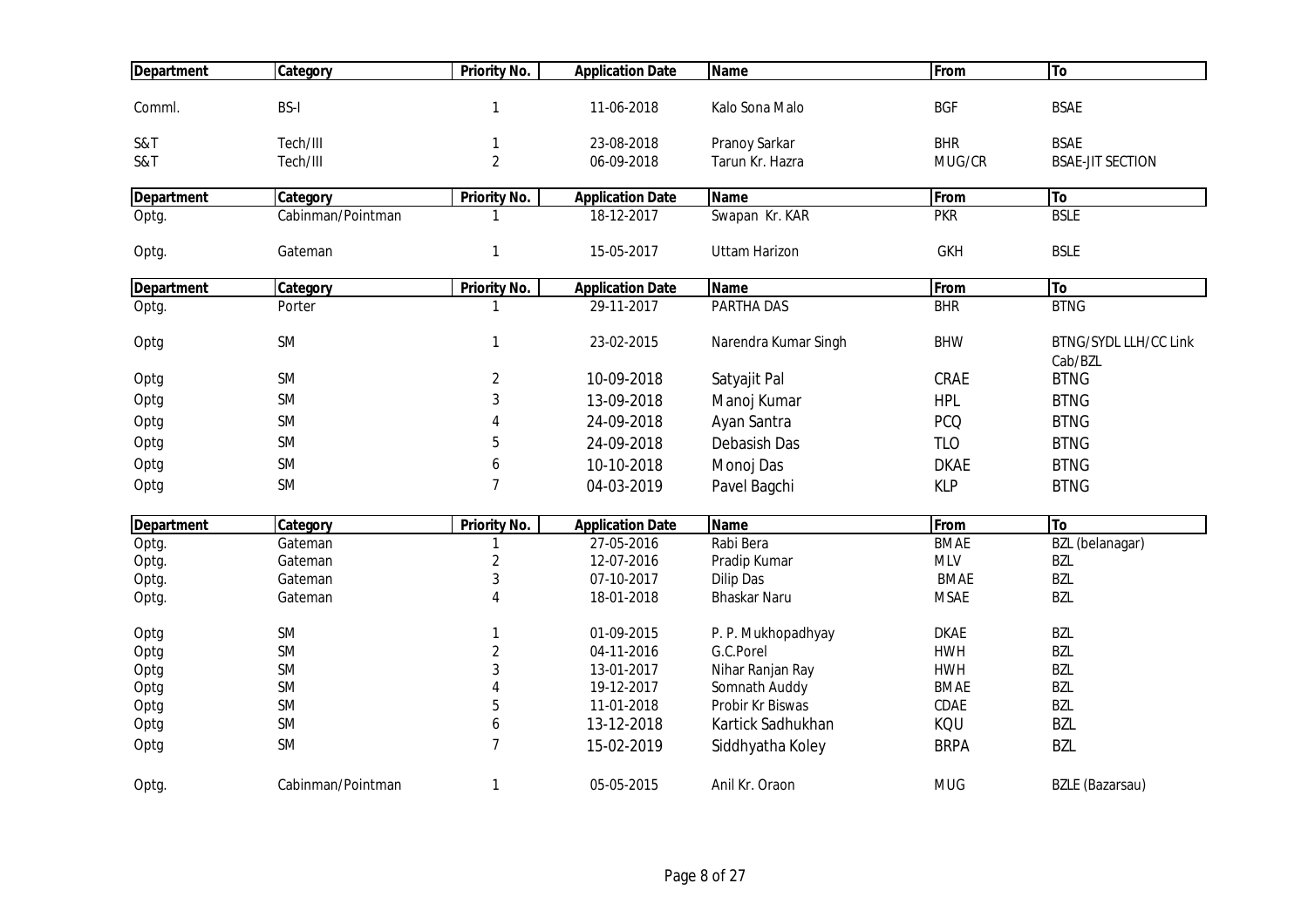| <b>Department</b> | Category          | <b>Priority No.</b> | <b>Application Date</b> | <b>Name</b>          | From        | To                           |
|-------------------|-------------------|---------------------|-------------------------|----------------------|-------------|------------------------------|
|                   |                   |                     |                         |                      |             |                              |
| Comml.            | <b>BS-I</b>       | $\mathbf{1}$        | 11-06-2018              | Kalo Sona Malo       | <b>BGF</b>  | <b>BSAE</b>                  |
| S&T               | Tech/III          | 1                   | 23-08-2018              | Pranoy Sarkar        | <b>BHR</b>  | <b>BSAE</b>                  |
| S&T               | Tech/III          | $\overline{2}$      | 06-09-2018              | Tarun Kr. Hazra      | MUG/CR      | <b>BSAE-JIT SECTION</b>      |
| <b>Department</b> | Category          | <b>Priority No.</b> | <b>Application Date</b> | <b>Name</b>          | From        | To                           |
| Optg.             | Cabinman/Pointman | 1                   | 18-12-2017              | Swapan Kr. KAR       | <b>PKR</b>  | <b>BSLE</b>                  |
|                   |                   |                     |                         |                      |             |                              |
| Optg.             | Gateman           | 1                   | 15-05-2017              | <b>Uttam Harizon</b> | <b>GKH</b>  | <b>BSLE</b>                  |
| Department        | Category          | <b>Priority No.</b> | <b>Application Date</b> | <b>Name</b>          | From        | To                           |
| Optg.             | Porter            | 1                   | 29-11-2017              | PARTHA DAS           | <b>BHR</b>  | <b>BTNG</b>                  |
|                   |                   |                     |                         |                      |             |                              |
| Optg              | <b>SM</b>         | 1                   | 23-02-2015              | Narendra Kumar Singh | <b>BHW</b>  | <b>BTNG/SYDL LLH/CC Link</b> |
|                   |                   |                     |                         |                      |             | Cab/BZL                      |
| Optg              | <b>SM</b>         | 2                   | 10-09-2018              | Satyajit Pal         | CRAE        | <b>BTNG</b>                  |
| Optg              | <b>SM</b>         | 3                   | 13-09-2018              | Manoj Kumar          | <b>HPL</b>  | <b>BTNG</b>                  |
| Optg              | <b>SM</b>         | 4                   | 24-09-2018              | Ayan Santra          | <b>PCQ</b>  | <b>BTNG</b>                  |
| Optg              | <b>SM</b>         | 5                   | 24-09-2018              | Debasish Das         | <b>TLO</b>  | <b>BTNG</b>                  |
| Optg              | <b>SM</b>         | 6                   | 10-10-2018              | Monoj Das            | <b>DKAE</b> | <b>BTNG</b>                  |
| Optg              | <b>SM</b>         | $\overline{7}$      | 04-03-2019              | Pavel Bagchi         | <b>KLP</b>  | <b>BTNG</b>                  |
|                   |                   |                     |                         |                      |             |                              |
| <b>Department</b> | Category          | <b>Priority No.</b> | <b>Application Date</b> | <b>Name</b>          | From        | <b>To</b>                    |
| Optg.             | Gateman           |                     | 27-05-2016              | Rabi Bera            | <b>BMAE</b> | BZL (belanagar)              |
| Optg.             | Gateman           | $\overline{c}$      | 12-07-2016              | Pradip Kumar         | <b>MLV</b>  | <b>BZL</b>                   |
| Optg.             | Gateman           | 3                   | 07-10-2017              | <b>Dilip Das</b>     | <b>BMAE</b> | <b>BZL</b>                   |
| Optg.             | Gateman           | 4                   | 18-01-2018              | <b>Bhaskar Naru</b>  | <b>MSAE</b> | <b>BZL</b>                   |
| Optg              | <b>SM</b>         | 1                   | 01-09-2015              | P. P. Mukhopadhyay   | <b>DKAE</b> | <b>BZL</b>                   |
| Optg              | <b>SM</b>         | $\overline{2}$      | 04-11-2016              | G.C.Porel            | <b>HWH</b>  | <b>BZL</b>                   |
| Optg              | <b>SM</b>         | 3                   | 13-01-2017              | Nihar Ranjan Ray     | <b>HWH</b>  | <b>BZL</b>                   |
| Optg              | <b>SM</b>         |                     | 19-12-2017              | Somnath Auddy        | <b>BMAE</b> | <b>BZL</b>                   |
| Optg              | <b>SM</b>         | 5                   | 11-01-2018              | Probir Kr Biswas     | CDAE        | <b>BZL</b>                   |
| Optg              | SM                | 6                   | 13-12-2018              | Kartick Sadhukhan    | KQU         | <b>BZL</b>                   |
| Optg              | <b>SM</b>         | $\overline{7}$      | 15-02-2019              | Siddhyatha Koley     | <b>BRPA</b> | <b>BZL</b>                   |
| Optg.             | Cabinman/Pointman | $\mathbf{1}$        | 05-05-2015              | Anil Kr. Oraon       | <b>MUG</b>  | <b>BZLE</b> (Bazarsau)       |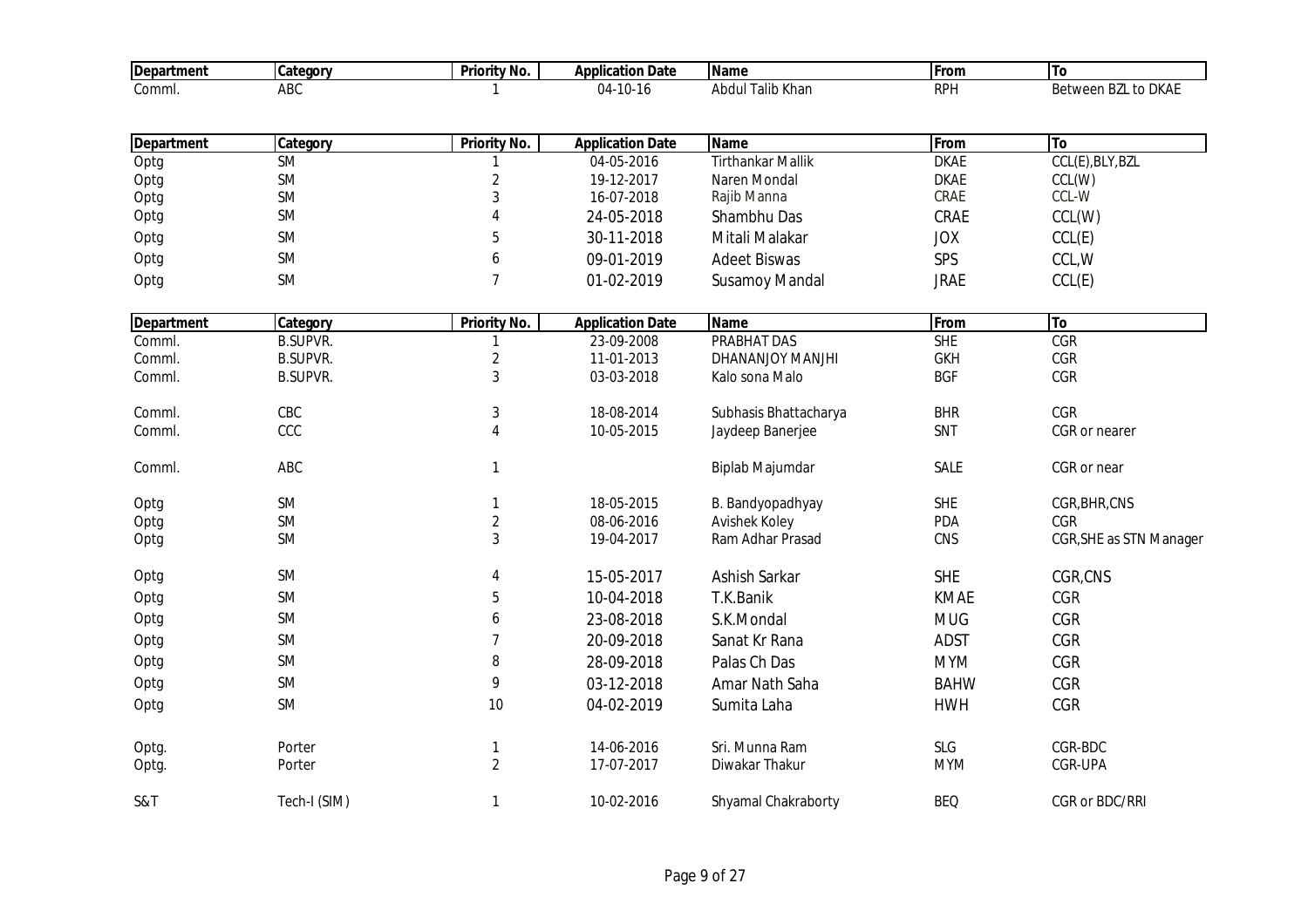| <b>Department</b> | Category        | <b>Priority No.</b> | <b>Application Date</b> | <b>Name</b>              | From        | To                      |
|-------------------|-----------------|---------------------|-------------------------|--------------------------|-------------|-------------------------|
| Comml.            | ABC             |                     | 04-10-16                | <b>Abdul Talib Khan</b>  | <b>RPH</b>  | Between BZL to DKAE     |
|                   |                 |                     |                         |                          |             |                         |
| <b>Department</b> | Category        | <b>Priority No.</b> | <b>Application Date</b> | <b>Name</b>              | From        | To                      |
| Optg              | <b>SM</b>       |                     | 04-05-2016              | <b>Tirthankar Mallik</b> | <b>DKAE</b> | CCL(E), BLY, BZL        |
| Optg              | SM              | $\overline{2}$      | 19-12-2017              | Naren Mondal             | <b>DKAE</b> | CCL(W)                  |
| Optg              | SM              | 3                   | 16-07-2018              | Rajib Manna              | CRAE        | CCL-W                   |
| Optg              | <b>SM</b>       | 4                   | 24-05-2018              | Shambhu Das              | CRAE        | CCL(W)                  |
| Optg              | SM              | 5                   | 30-11-2018              | Mitali Malakar           | <b>JOX</b>  | CCL(E)                  |
| Optg              | SM              | 6                   | 09-01-2019              | <b>Adeet Biswas</b>      | SPS         | CCL, W                  |
| Optg              | <b>SM</b>       | $\overline{7}$      | 01-02-2019              | <b>Susamoy Mandal</b>    | <b>JRAE</b> | CCL(E)                  |
| <b>Department</b> | Category        | <b>Priority No.</b> | <b>Application Date</b> | <b>Name</b>              | From        | To                      |
| Comml.            | <b>B.SUPVR.</b> |                     | 23-09-2008              | <b>PRABHAT DAS</b>       | <b>SHE</b>  | CGR                     |
| Comml.            | <b>B.SUPVR.</b> | $\overline{c}$      | 11-01-2013              | DHANANJOY MANJHI         | <b>GKH</b>  | CGR                     |
| Comml.            | <b>B.SUPVR.</b> | 3                   | 03-03-2018              | Kalo sona Malo           | <b>BGF</b>  | CGR                     |
| Comml.            | CBC             | 3                   | 18-08-2014              | Subhasis Bhattacharya    | <b>BHR</b>  | CGR                     |
| Comml.            | CCC             | 4                   | 10-05-2015              | Jaydeep Banerjee         | SNT         | CGR or nearer           |
| Comml.            | ABC             | 1                   |                         | Biplab Majumdar          | SALE        | CGR or near             |
| Optg              | SM              | $\mathbf{1}$        | 18-05-2015              | B. Bandyopadhyay         | <b>SHE</b>  | CGR, BHR, CNS           |
| Optg              | SM              | $\sqrt{2}$          | 08-06-2016              | Avishek Koley            | <b>PDA</b>  | CGR                     |
| Optg              | <b>SM</b>       | 3                   | 19-04-2017              | Ram Adhar Prasad         | CNS         | CGR, SHE as STN Manager |
| Optg              | <b>SM</b>       | 4                   | 15-05-2017              | Ashish Sarkar            | <b>SHE</b>  | CGR,CNS                 |
| Optg              | SM              | 5                   | 10-04-2018              | T.K.Banik                | <b>KMAE</b> | CGR                     |
| Optg              | SM              | 6                   | 23-08-2018              | S.K.Mondal               | <b>MUG</b>  | <b>CGR</b>              |
| Optg              | <b>SM</b>       | $\overline{7}$      | 20-09-2018              | Sanat Kr Rana            | <b>ADST</b> | CGR                     |
| Optg              | <b>SM</b>       | 8                   | 28-09-2018              | Palas Ch Das             | <b>MYM</b>  | CGR                     |
| Optg              | SM              | 9                   | 03-12-2018              | Amar Nath Saha           | <b>BAHW</b> | CGR                     |
| Optg              | SM              | $10$                | 04-02-2019              | Sumita Laha              | <b>HWH</b>  | CGR                     |
|                   |                 |                     |                         |                          |             |                         |
| Optg.             | Porter          | 1                   | 14-06-2016              | Sri. Munna Ram           | SLG         | CGR-BDC                 |
| Optg.             | Porter          | $\overline{2}$      | 17-07-2017              | Diwakar Thakur           | <b>MYM</b>  | CGR-UPA                 |
| S&T               | Tech-I (SIM)    | $\mathbf{1}$        | 10-02-2016              | Shyamal Chakraborty      | <b>BEQ</b>  | CGR or BDC/RRI          |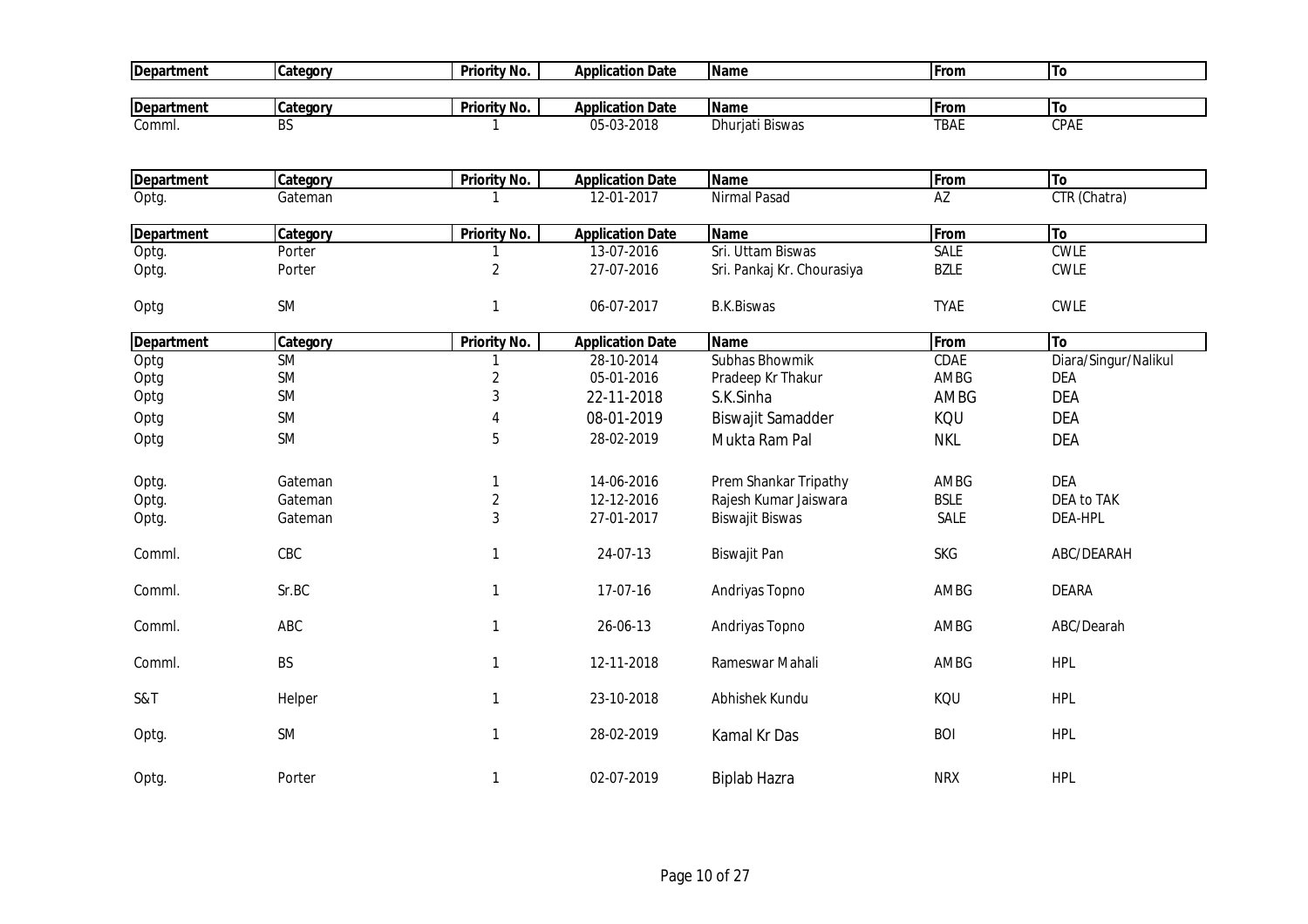| <b>Department</b> | Category  | <b>Priority No.</b> | <b>Application Date</b> | <b>Name</b>                | From        | To                   |
|-------------------|-----------|---------------------|-------------------------|----------------------------|-------------|----------------------|
| <b>Department</b> | Category  | <b>Priority No.</b> | <b>Application Date</b> | <b>Name</b>                | From        | To                   |
| Comml.            | <b>BS</b> |                     | 05-03-2018              | Dhurjati Biswas            | <b>TBAE</b> | CPAE                 |
|                   |           |                     |                         |                            |             |                      |
| <b>Department</b> | Category  | Priority No.        | <b>Application Date</b> | <b>Name</b>                | From        | To                   |
| Optg.             | Gateman   | 1                   | 12-01-2017              | Nirmal Pasad               | AZ          | CTR (Chatra)         |
|                   |           |                     |                         |                            |             |                      |
| <b>Department</b> | Category  | <b>Priority No.</b> | <b>Application Date</b> | <b>Name</b>                | From        | To                   |
| Optg.             | Porter    | 1                   | 13-07-2016              | Sri. Uttam Biswas          | SALE        | <b>CWLE</b>          |
| Optg.             | Porter    | $\overline{2}$      | 27-07-2016              | Sri. Pankaj Kr. Chourasiya | <b>BZLE</b> | <b>CWLE</b>          |
| Optg              | SM        | $\mathbf{1}$        | 06-07-2017              | <b>B.K.Biswas</b>          | <b>TYAE</b> | <b>CWLE</b>          |
|                   |           |                     |                         |                            |             |                      |
| <b>Department</b> | Category  | <b>Priority No.</b> | <b>Application Date</b> | <b>Name</b>                | From        | To                   |
| Optg              | <b>SM</b> |                     | 28-10-2014              | Subhas Bhowmik             | <b>CDAE</b> | Diara/Singur/Nalikul |
| Optg              | SM        | $\sqrt{2}$          | 05-01-2016              | Pradeep Kr Thakur          | AMBG        | <b>DEA</b>           |
| Optg              | <b>SM</b> | 3                   | 22-11-2018              | S.K.Sinha                  | AMBG        | <b>DEA</b>           |
| Optg              | <b>SM</b> | 4                   | 08-01-2019              | <b>Biswajit Samadder</b>   | KQU         | <b>DEA</b>           |
| Optg              | <b>SM</b> | 5                   | 28-02-2019              | Mukta Ram Pal              | <b>NKL</b>  | <b>DEA</b>           |
|                   |           |                     |                         |                            |             |                      |
| Optg.             | Gateman   | 1                   | 14-06-2016              | Prem Shankar Tripathy      | AMBG        | <b>DEA</b>           |
| Optg.             | Gateman   | $\sqrt{2}$          | 12-12-2016              | Rajesh Kumar Jaiswara      | <b>BSLE</b> | <b>DEA to TAK</b>    |
| Optg.             | Gateman   | 3                   | 27-01-2017              | <b>Biswajit Biswas</b>     | SALE        | DEA-HPL              |
|                   |           |                     |                         |                            |             |                      |
| Comml.            | CBC       | 1                   | 24-07-13                | Biswajit Pan               | <b>SKG</b>  | ABC/DEARAH           |
|                   |           |                     |                         |                            |             |                      |
| Comml.            | Sr.BC     | 1                   | 17-07-16                | Andriyas Topno             | AMBG        | <b>DEARA</b>         |
| Comml.            | ABC       | 1                   | 26-06-13                | Andriyas Topno             | AMBG        | ABC/Dearah           |
|                   |           |                     |                         |                            |             |                      |
| Comml.            | <b>BS</b> | 1                   | 12-11-2018              | Rameswar Mahali            | AMBG        | <b>HPL</b>           |
|                   |           |                     |                         |                            |             |                      |
| S&T               | Helper    | $\mathbf{1}$        | 23-10-2018              | Abhishek Kundu             | KQU         | <b>HPL</b>           |
| Optg.             | <b>SM</b> | $\mathbf{1}$        | 28-02-2019              | Kamal Kr Das               | <b>BOI</b>  | <b>HPL</b>           |
|                   |           |                     |                         |                            |             |                      |
| Optg.             | Porter    | 1                   | 02-07-2019              | <b>Biplab Hazra</b>        | <b>NRX</b>  | <b>HPL</b>           |
|                   |           |                     |                         |                            |             |                      |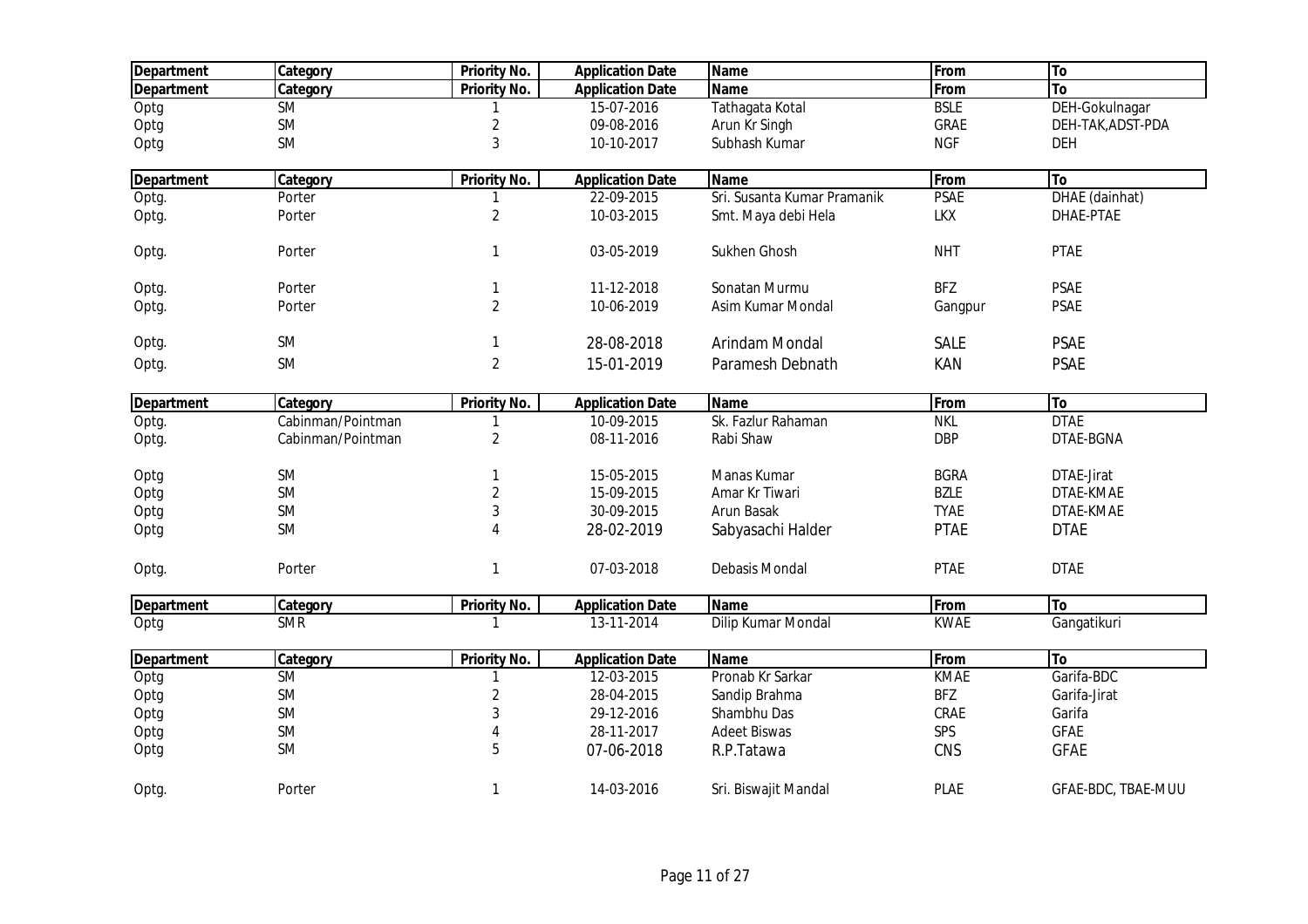| <b>Department</b> | Category          | <b>Priority No.</b> | <b>Application Date</b> | <b>Name</b>                 | From        | To                 |
|-------------------|-------------------|---------------------|-------------------------|-----------------------------|-------------|--------------------|
| <b>Department</b> | Category          | Priority No.        | <b>Application Date</b> | <b>Name</b>                 | From        | To                 |
| Optg              | <b>SM</b>         |                     | 15-07-2016              | Tathagata Kotal             | <b>BSLE</b> | DEH-Gokulnagar     |
| Optg              | SM                | $\overline{c}$      | 09-08-2016              | Arun Kr Singh               | GRAE        | DEH-TAK, ADST-PDA  |
| Optg              | <b>SM</b>         | 3                   | 10-10-2017              | Subhash Kumar               | <b>NGF</b>  | DEH                |
|                   |                   |                     |                         |                             |             |                    |
| <b>Department</b> | Category          | <b>Priority No.</b> | <b>Application Date</b> | <b>Name</b>                 | From        | <b>To</b>          |
| Optg.             | Porter            |                     | 22-09-2015              | Sri. Susanta Kumar Pramanik | <b>PSAE</b> | DHAE (dainhat)     |
| Optg.             | Porter            | $\overline{2}$      | 10-03-2015              | Smt. Maya debi Hela         | <b>LKX</b>  | DHAE-PTAE          |
| Optg.             | Porter            | 1                   | 03-05-2019              | Sukhen Ghosh                | <b>NHT</b>  | <b>PTAE</b>        |
|                   |                   |                     |                         |                             |             |                    |
| Optg.             | Porter            | 1                   | 11-12-2018              | Sonatan Murmu               | <b>BFZ</b>  | <b>PSAE</b>        |
| Optg.             | Porter            | $\overline{2}$      | 10-06-2019              | Asim Kumar Mondal           | Gangpur     | <b>PSAE</b>        |
| Optg.             | <b>SM</b>         | 1                   | 28-08-2018              | Arindam Mondal              | <b>SALE</b> | <b>PSAE</b>        |
| Optg.             | <b>SM</b>         | $\overline{2}$      | 15-01-2019              | Paramesh Debnath            | <b>KAN</b>  | <b>PSAE</b>        |
|                   |                   |                     |                         |                             |             |                    |
| <b>Department</b> | Category          | <b>Priority No.</b> | <b>Application Date</b> | <b>Name</b>                 | From        | To                 |
| Optg.             | Cabinman/Pointman | 1                   | 10-09-2015              | Sk. Fazlur Rahaman          | <b>NKL</b>  | <b>DTAE</b>        |
| Optg.             | Cabinman/Pointman | $\overline{2}$      | 08-11-2016              | Rabi Shaw                   | <b>DBP</b>  | DTAE-BGNA          |
| Optg              | SM                | 1                   | 15-05-2015              | Manas Kumar                 | <b>BGRA</b> | DTAE-Jirat         |
| Optg              | <b>SM</b>         | $\overline{2}$      | 15-09-2015              | Amar Kr Tiwari              | <b>BZLE</b> | DTAE-KMAE          |
| Optg              | <b>SM</b>         | 3                   | 30-09-2015              | Arun Basak                  | <b>TYAE</b> | DTAE-KMAE          |
| Optg              | <b>SM</b>         | 4                   | 28-02-2019              | Sabyasachi Halder           | <b>PTAE</b> | <b>DTAE</b>        |
|                   |                   |                     |                         |                             |             |                    |
| Optg.             | Porter            | 1                   | 07-03-2018              | Debasis Mondal              | <b>PTAE</b> | <b>DTAE</b>        |
| <b>Department</b> | Category          | <b>Priority No.</b> | <b>Application Date</b> | <b>Name</b>                 | From        | To                 |
| Optg              | <b>SMR</b>        |                     | 13-11-2014              | Dilip Kumar Mondal          | <b>KWAE</b> | Gangatikuri        |
| <b>Department</b> | Category          | <b>Priority No.</b> | <b>Application Date</b> | <b>Name</b>                 | From        | To                 |
| Optg              | <b>SM</b>         | 1                   | 12-03-2015              | Pronab Kr Sarkar            | <b>KMAE</b> | Garifa-BDC         |
| Optg              | SM                | 2                   | 28-04-2015              | Sandip Brahma               | <b>BFZ</b>  | Garifa-Jirat       |
| Optg              | SM                | 3                   | 29-12-2016              | Shambhu Das                 | CRAE        | Garifa             |
| Optg              | SM                | 4                   | 28-11-2017              | <b>Adeet Biswas</b>         | SPS         | <b>GFAE</b>        |
| Optg              | <b>SM</b>         | 5                   | 07-06-2018              | R.P.Tatawa                  | CNS         | <b>GFAE</b>        |
| Optg.             | Porter            | 1                   | 14-03-2016              | Sri. Biswajit Mandal        | <b>PLAE</b> | GFAE-BDC, TBAE-MUU |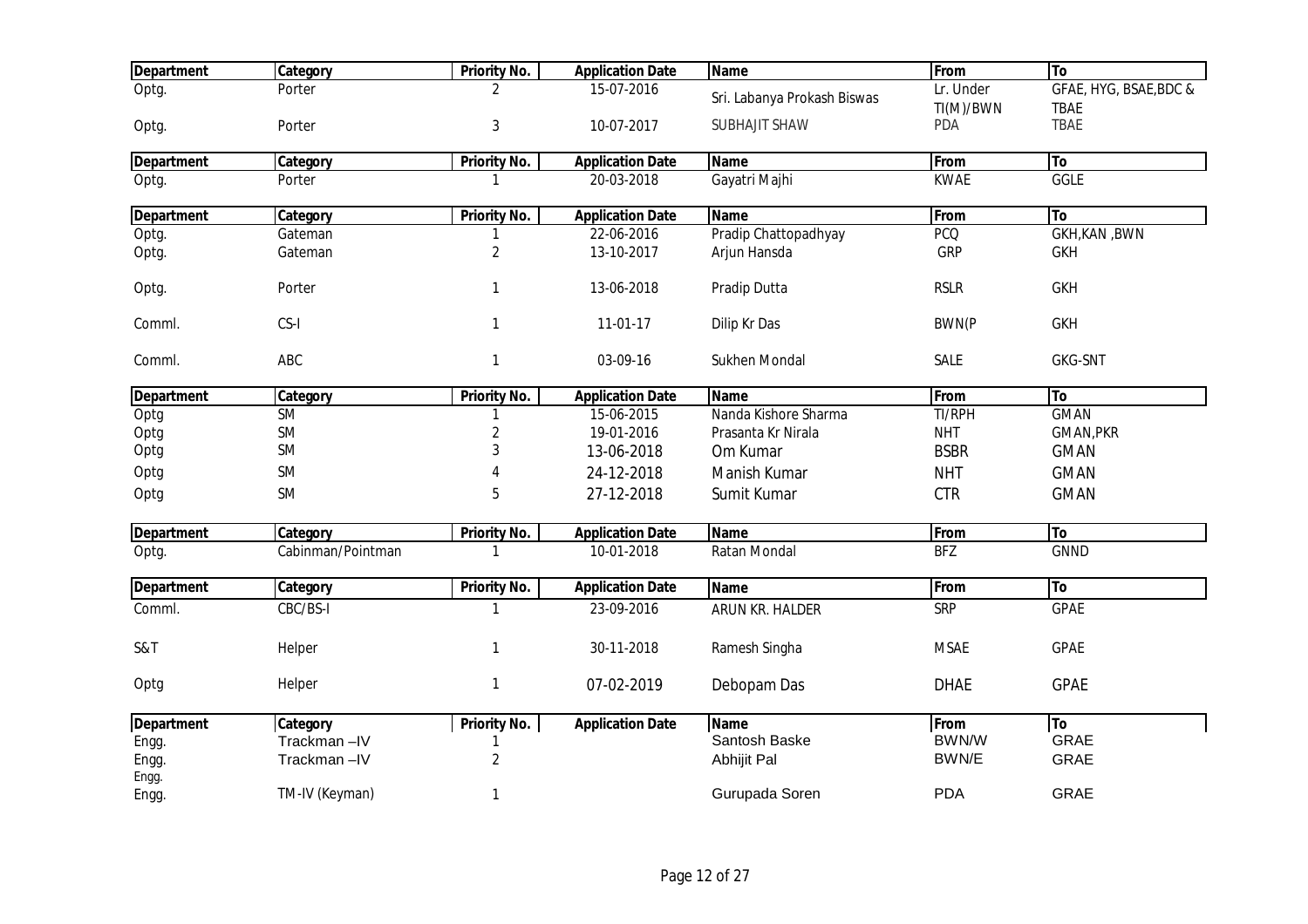| <b>Department</b> | Category          | <b>Priority No.</b> | <b>Application Date</b> | <b>Name</b>                 | From                   | To                                    |
|-------------------|-------------------|---------------------|-------------------------|-----------------------------|------------------------|---------------------------------------|
| Optg.             | Porter            | 2                   | 15-07-2016              | Sri. Labanya Prokash Biswas | Lr. Under<br>TI(M)/BWN | GFAE, HYG, BSAE, BDC &<br><b>TBAE</b> |
| Optg.             | Porter            | 3                   | 10-07-2017              | <b>SUBHAJIT SHAW</b>        | <b>PDA</b>             | <b>TBAE</b>                           |
| <b>Department</b> | Category          | <b>Priority No.</b> | <b>Application Date</b> | <b>Name</b>                 | From                   | To                                    |
| Optg.             | Porter            | 1                   | 20-03-2018              | Gayatri Majhi               | <b>KWAE</b>            | GGLE                                  |
| <b>Department</b> | Category          | <b>Priority No.</b> | <b>Application Date</b> | <b>Name</b>                 | From                   | To                                    |
| Optg.             | Gateman           | 1                   | 22-06-2016              | Pradip Chattopadhyay        | <b>PCQ</b>             | <b>GKH, KAN, BWN</b>                  |
| Optg.             | Gateman           | $\overline{2}$      | 13-10-2017              | Arjun Hansda                | <b>GRP</b>             | <b>GKH</b>                            |
| Optg.             | Porter            | $\mathbf{1}$        | 13-06-2018              | Pradip Dutta                | <b>RSLR</b>            | <b>GKH</b>                            |
| Comml.            | CS-I              | $\mathbf{1}$        | 11-01-17                | Dilip Kr Das                | <b>BWN(P</b>           | <b>GKH</b>                            |
| Comml.            | ABC               | 1                   | 03-09-16                | Sukhen Mondal               | <b>SALE</b>            | <b>GKG-SNT</b>                        |
| <b>Department</b> | Category          | <b>Priority No.</b> | <b>Application Date</b> | <b>Name</b>                 | From                   | To                                    |
| Optg              | SM                | 1                   | 15-06-2015              | Nanda Kishore Sharma        | TI/RPH                 | <b>GMAN</b>                           |
| Optg              | <b>SM</b>         | 2                   | 19-01-2016              | Prasanta Kr Nirala          | <b>NHT</b>             | <b>GMAN, PKR</b>                      |
| Optg              | <b>SM</b>         | 3                   | 13-06-2018              | Om Kumar                    | <b>BSBR</b>            | <b>GMAN</b>                           |
| Optg              | <b>SM</b>         |                     | 24-12-2018              | Manish Kumar                | <b>NHT</b>             | <b>GMAN</b>                           |
| Optg              | <b>SM</b>         | 5                   | 27-12-2018              | Sumit Kumar                 | <b>CTR</b>             | <b>GMAN</b>                           |
| <b>Department</b> | Category          | <b>Priority No.</b> | <b>Application Date</b> | <b>Name</b>                 | From                   | To                                    |
| Optg.             | Cabinman/Pointman |                     | 10-01-2018              | Ratan Mondal                | BFZ                    | <b>GNND</b>                           |
| <b>Department</b> | Category          | <b>Priority No.</b> | <b>Application Date</b> | <b>Name</b>                 | From                   | To                                    |
| Comml.            | CBC/BS-I          | 1                   | 23-09-2016              | ARUN KR. HALDER             | <b>SRP</b>             | <b>GPAE</b>                           |
| S&T               | Helper            | 1                   | 30-11-2018              | Ramesh Singha               | <b>MSAE</b>            | <b>GPAE</b>                           |
| Optg              | Helper            | $\mathbf{1}$        | 07-02-2019              | Debopam Das                 | <b>DHAE</b>            | <b>GPAE</b>                           |
| <b>Department</b> | Category          | <b>Priority No.</b> | <b>Application Date</b> | <b>Name</b>                 | From                   | To                                    |
| Engg.             | Trackman-IV       |                     |                         | Santosh Baske               | BWN/W                  | <b>GRAE</b>                           |
| Engg.             | Trackman-IV       | $\overline{2}$      |                         | Abhijit Pal                 | BWN/E                  | <b>GRAE</b>                           |
| Engg.             |                   |                     |                         |                             |                        |                                       |
| Engg.             | TM-IV (Keyman)    | 1                   |                         | Gurupada Soren              | <b>PDA</b>             | GRAE                                  |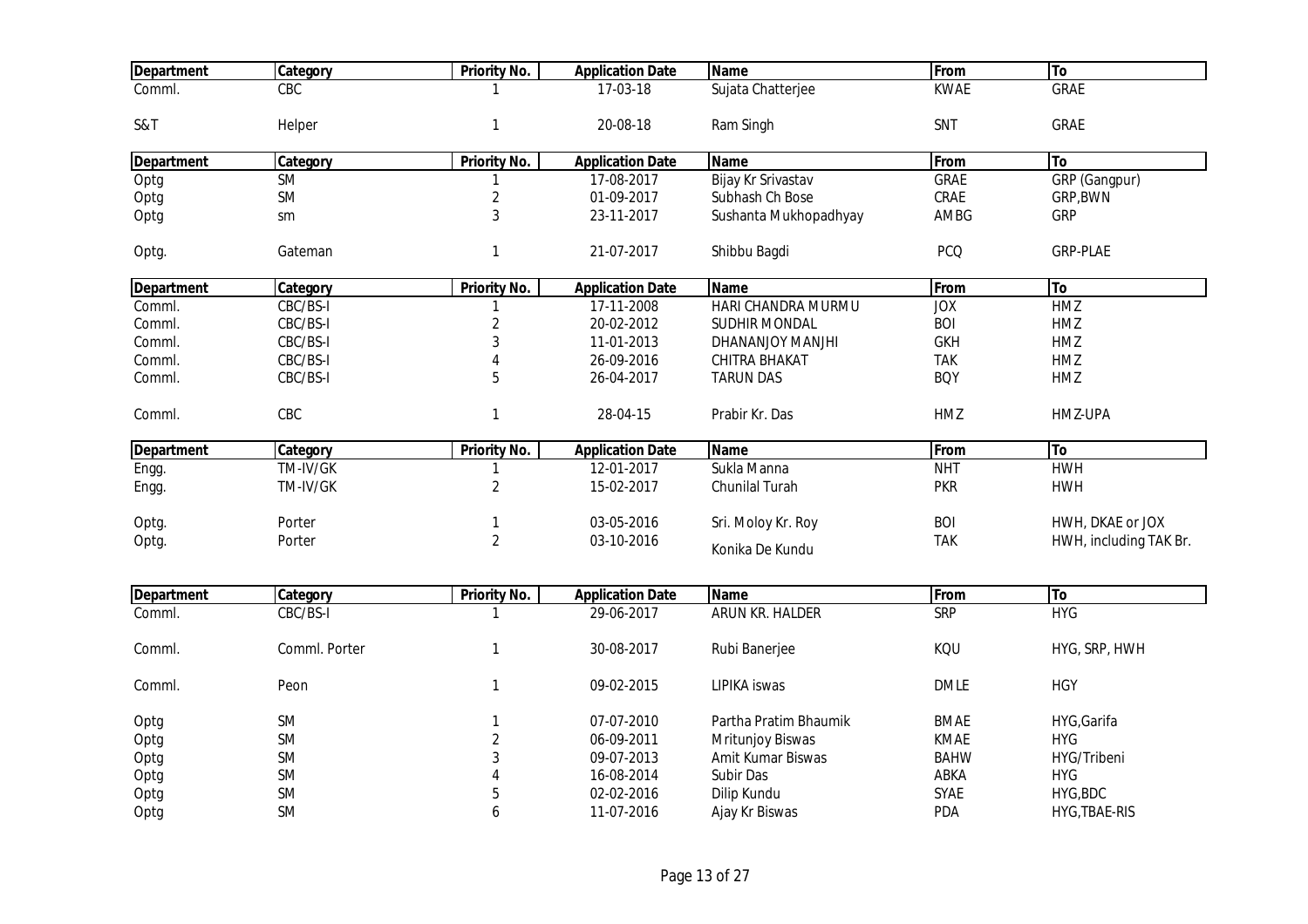| <b>Department</b> | Category      | <b>Priority No.</b> | <b>Application Date</b> | <b>Name</b>           | From        | To                     |
|-------------------|---------------|---------------------|-------------------------|-----------------------|-------------|------------------------|
| Comml.            | CBC           |                     | 17-03-18                | Sujata Chatterjee     | <b>KWAE</b> | <b>GRAE</b>            |
| S&T               | Helper        | 1                   | 20-08-18                | Ram Singh             | SNT         | GRAE                   |
| <b>Department</b> | Category      | <b>Priority No.</b> | <b>Application Date</b> | <b>Name</b>           | From        | To                     |
| Optg              | <b>SM</b>     | 1                   | 17-08-2017              | Bijay Kr Srivastav    | <b>GRAE</b> | GRP (Gangpur)          |
| Optg              | <b>SM</b>     | $\overline{2}$      | 01-09-2017              | Subhash Ch Bose       | CRAE        | GRP, BWN               |
| Optg              | sm            | 3                   | 23-11-2017              | Sushanta Mukhopadhyay | AMBG        | <b>GRP</b>             |
| Optg.             | Gateman       | $\mathbf{1}$        | 21-07-2017              | Shibbu Bagdi          | <b>PCQ</b>  | <b>GRP-PLAE</b>        |
| <b>Department</b> | Category      | <b>Priority No.</b> | <b>Application Date</b> | <b>Name</b>           | From        | To                     |
| Comml.            | CBC/BS-I      | 1                   | 17-11-2008              | HARI CHANDRA MURMU    | <b>JOX</b>  | HMZ                    |
| Comml.            | CBC/BS-I      | $\overline{c}$      | 20-02-2012              | SUDHIR MONDAL         | <b>BOI</b>  | HMZ                    |
| Comml.            | CBC/BS-I      | 3                   | 11-01-2013              | DHANANJOY MANJHI      | <b>GKH</b>  | HMZ                    |
| Comml.            | CBC/BS-I      | 4                   | 26-09-2016              | CHITRA BHAKAT         | <b>TAK</b>  | HMZ                    |
| Comml.            | CBC/BS-I      | 5                   | 26-04-2017              | <b>TARUN DAS</b>      | <b>BOY</b>  | HMZ                    |
| Comml.            | CBC           | $\mathbf{1}$        | 28-04-15                | Prabir Kr. Das        | HMZ         | HMZ-UPA                |
| <b>Department</b> | Category      | <b>Priority No.</b> | <b>Application Date</b> | <b>Name</b>           | From        | To                     |
| Engg.             | TM-IV/GK      |                     | 12-01-2017              | Sukla Manna           | <b>NHT</b>  | <b>HWH</b>             |
| Engg.             | TM-IV/GK      | $\overline{c}$      | 15-02-2017              | Chunilal Turah        | <b>PKR</b>  | <b>HWH</b>             |
| Optg.             | Porter        | 1                   | 03-05-2016              | Sri. Moloy Kr. Roy    | <b>BOI</b>  | HWH, DKAE or JOX       |
| Optg.             | Porter        | $\overline{2}$      | 03-10-2016              | Konika De Kundu       | <b>TAK</b>  | HWH, including TAK Br. |
|                   |               |                     |                         |                       |             |                        |
| <b>Department</b> | Category      | <b>Priority No.</b> | <b>Application Date</b> | <b>Name</b>           | From        | To                     |
| Comml.            | CBC/BS-I      | 1                   | 29-06-2017              | ARUN KR. HALDER       | <b>SRP</b>  | <b>HYG</b>             |
| Comml.            | Comml. Porter | $\mathbf{1}$        | 30-08-2017              | Rubi Banerjee         | KQU         | HYG, SRP, HWH          |
| Comml.            | Peon          | 1                   | 09-02-2015              | LIPIKA iswas          | <b>DMLE</b> | <b>HGY</b>             |
| Optg              | <b>SM</b>     | 1                   | 07-07-2010              | Partha Pratim Bhaumik | <b>BMAE</b> | HYG, Garifa            |
| Optg              | <b>SM</b>     | $\overline{2}$      | 06-09-2011              | Mritunjoy Biswas      | KMAE        | <b>HYG</b>             |
| Optg              | SM            | 3                   | 09-07-2013              | Amit Kumar Biswas     | <b>BAHW</b> | HYG/Tribeni            |
| Optg              | <b>SM</b>     | 4                   | 16-08-2014              | Subir Das             | ABKA        | <b>HYG</b>             |
|                   |               |                     |                         |                       |             |                        |
| Optg              | SM            | 5                   | 02-02-2016              | Dilip Kundu           | SYAE        | HYG, BDC               |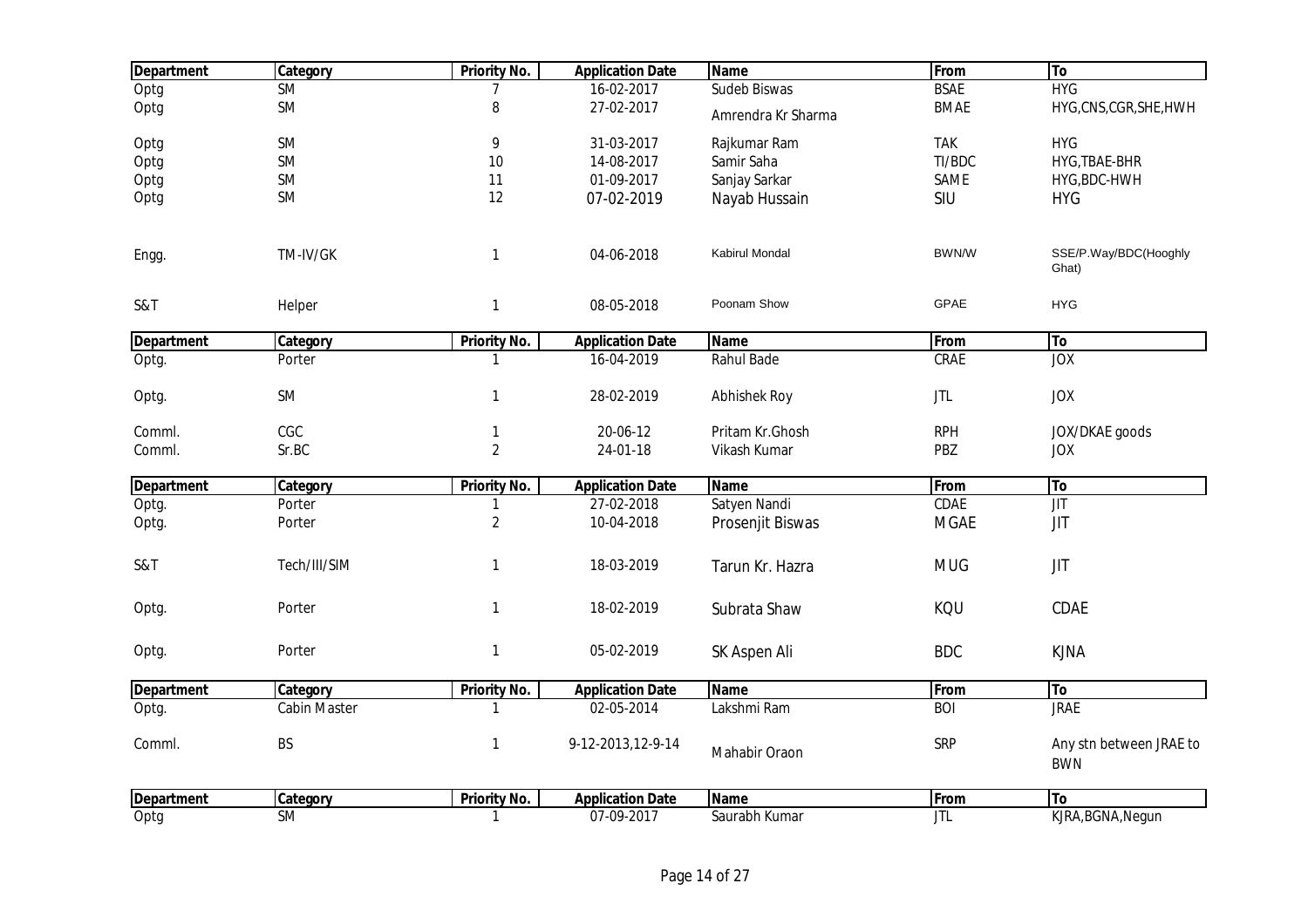| <b>Department</b> | Category            | <b>Priority No.</b> | <b>Application Date</b> | <b>Name</b>           | From        | To                                    |
|-------------------|---------------------|---------------------|-------------------------|-----------------------|-------------|---------------------------------------|
| Optg              | <b>SM</b>           |                     | 16-02-2017              | Sudeb Biswas          | <b>BSAE</b> | <b>HYG</b>                            |
| Optg              | SM                  | 8                   | 27-02-2017              | Amrendra Kr Sharma    | <b>BMAE</b> | HYG, CNS, CGR, SHE, HWH               |
| Optg              | SM                  | 9                   | 31-03-2017              | Rajkumar Ram          | <b>TAK</b>  | <b>HYG</b>                            |
| Optg              | SM                  | 10                  | 14-08-2017              | Samir Saha            | TI/BDC      | HYG, TBAE-BHR                         |
| Optg              | SM                  | 11                  | 01-09-2017              | Sanjay Sarkar         | SAME        | HYG, BDC-HWH                          |
| Optg              | <b>SM</b>           | 12                  | 07-02-2019              | Nayab Hussain         | SIU         | <b>HYG</b>                            |
| Engg.             | TM-IV/GK            | $\mathbf{1}$        | 04-06-2018              | <b>Kabirul Mondal</b> | BWN/W       | SSE/P.Way/BDC(Hooghly<br>Ghat)        |
| S&T               | Helper              | $\mathbf{1}$        | 08-05-2018              | Poonam Show           | GPAE        | <b>HYG</b>                            |
| <b>Department</b> | Category            | <b>Priority No.</b> | <b>Application Date</b> | <b>Name</b>           | From        | To                                    |
| Optg.             | Porter              |                     | 16-04-2019              | Rahul Bade            | CRAE        | <b>JOX</b>                            |
| Optg.             | SM                  | $\mathbf{1}$        | 28-02-2019              | Abhishek Roy          | <b>JTL</b>  | <b>JOX</b>                            |
| Comml.            | CGC                 | 1                   | 20-06-12                | Pritam Kr.Ghosh       | <b>RPH</b>  | JOX/DKAE goods                        |
| Comml.            | Sr.BC               | $\sqrt{2}$          | 24-01-18                | Vikash Kumar          | PBZ         | <b>JOX</b>                            |
| <b>Department</b> | Category            | <b>Priority No.</b> | <b>Application Date</b> | <b>Name</b>           | From        | To                                    |
| Optg.             | Porter              |                     | 27-02-2018              | Satyen Nandi          | CDAE        | <b>JIT</b>                            |
| Optg.             | Porter              | $\sqrt{2}$          | 10-04-2018              | Prosenjit Biswas      | <b>MGAE</b> | JIT                                   |
| S&T               | Tech/III/SIM        | $\mathbf{1}$        | 18-03-2019              | Tarun Kr. Hazra       | <b>MUG</b>  | <b>JIT</b>                            |
| Optg.             | Porter              | $\mathbf{1}$        | 18-02-2019              | Subrata Shaw          | KQU         | CDAE                                  |
| Optg.             | Porter              | $\mathbf{1}$        | 05-02-2019              | SK Aspen Ali          | <b>BDC</b>  | <b>KJNA</b>                           |
| <b>Department</b> | Category            | <b>Priority No.</b> | <b>Application Date</b> | <b>Name</b>           | From        | To                                    |
| Optg.             | <b>Cabin Master</b> | -1                  | 02-05-2014              | Lakshmi Ram           | <b>BOI</b>  | <b>JRAE</b>                           |
| Comml.            | BS                  | $\mathbf{1}$        | 9-12-2013, 12-9-14      | Mahabir Oraon         | SRP         | Any stn between JRAE to<br><b>BWN</b> |
| <b>Department</b> | Category            | <b>Priority No.</b> | <b>Application Date</b> | <b>Name</b>           | From        | To                                    |
| Optg              | <b>SM</b>           | $\mathbf{1}$        | 07-09-2017              | Saurabh Kumar         | <b>JTL</b>  | KJRA, BGNA, Negun                     |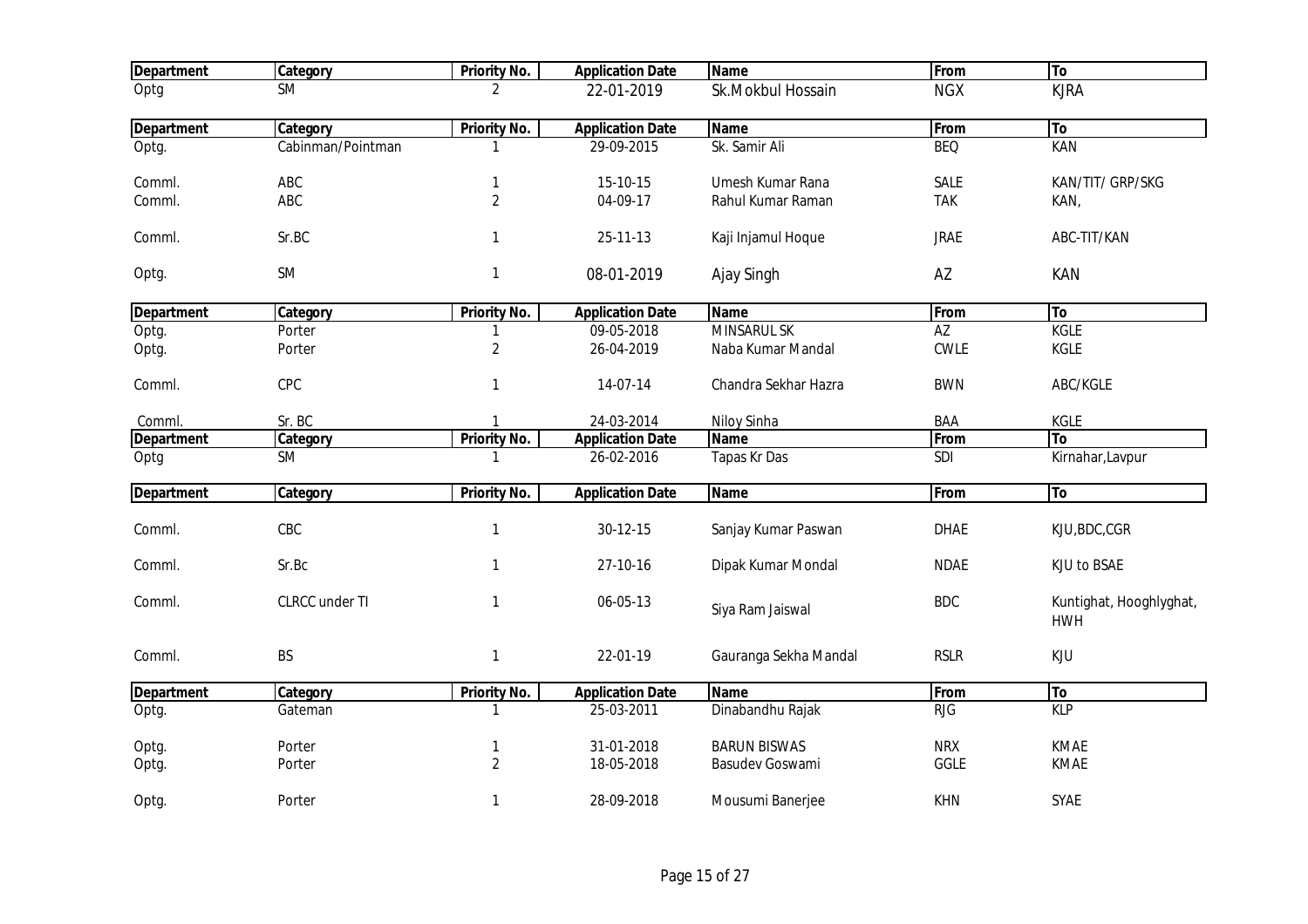| <b>Department</b> | Category          | <b>Priority No.</b> | <b>Application Date</b> | <b>Name</b>           | From        | To                                    |
|-------------------|-------------------|---------------------|-------------------------|-----------------------|-------------|---------------------------------------|
| Optg              | <b>SM</b>         | 2                   | 22-01-2019              | Sk.Mokbul Hossain     | <b>NGX</b>  | <b>KJRA</b>                           |
| <b>Department</b> | Category          | Priority No.        | <b>Application Date</b> | <b>Name</b>           | From        | To                                    |
| Optg.             | Cabinman/Pointman | 1                   | 29-09-2015              | Sk. Samir Ali         | <b>BEQ</b>  | <b>KAN</b>                            |
| Comml.            | ABC               | 1                   | 15-10-15                | Umesh Kumar Rana      | SALE        | KAN/TIT/ GRP/SKG                      |
| Comml.            | ABC               | $\overline{2}$      | 04-09-17                | Rahul Kumar Raman     | <b>TAK</b>  | KAN,                                  |
| Comml.            | Sr.BC             | $\mathbf{1}$        | 25-11-13                | Kaji Injamul Hoque    | <b>JRAE</b> | ABC-TIT/KAN                           |
| Optg.             | <b>SM</b>         | $\mathbf{1}$        | 08-01-2019              | Ajay Singh            | AZ          | KAN                                   |
| <b>Department</b> | Category          | <b>Priority No.</b> | <b>Application Date</b> | <b>Name</b>           | From        | To                                    |
| Optg.             | Porter            |                     | 09-05-2018              | <b>MINSARUL SK</b>    | AZ          | <b>KGLE</b>                           |
| Optg.             | Porter            | $\overline{2}$      | 26-04-2019              | Naba Kumar Mandal     | CWLE        | KGLE                                  |
| Comml.            | CPC               | 1                   | 14-07-14                | Chandra Sekhar Hazra  | <b>BWN</b>  | ABC/KGLE                              |
| Comml.            | Sr. BC            | $\mathbf{1}$        | 24-03-2014              | Niloy Sinha           | BAA         | KGLE                                  |
| <b>Department</b> | Category          | <b>Priority No.</b> | <b>Application Date</b> | Name                  | From        | <b>To</b>                             |
| Optg              | <b>SM</b>         | 1                   | 26-02-2016              | Tapas Kr Das          | SDI         | Kirnahar, Lavpur                      |
| <b>Department</b> | Category          | <b>Priority No.</b> | <b>Application Date</b> | <b>Name</b>           | From        | To                                    |
| Comml.            | CBC               | $\mathbf{1}$        | 30-12-15                | Sanjay Kumar Paswan   | <b>DHAE</b> | KJU, BDC, CGR                         |
| Comml.            | Sr.Bc             | $\mathbf{1}$        | 27-10-16                | Dipak Kumar Mondal    | <b>NDAE</b> | KJU to BSAE                           |
| Comml.            | CLRCC under TI    | $\mathbf{1}$        | 06-05-13                | Siya Ram Jaiswal      | <b>BDC</b>  | Kuntighat, Hooghlyghat,<br><b>HWH</b> |
| Comml.            | <b>BS</b>         | $\mathbf{1}$        | 22-01-19                | Gauranga Sekha Mandal | <b>RSLR</b> | <b>KJU</b>                            |
| <b>Department</b> | Category          | <b>Priority No.</b> | <b>Application Date</b> | <b>Name</b>           | From        | To                                    |
| Optg.             | Gateman           |                     | 25-03-2011              | Dinabandhu Rajak      | <b>RJG</b>  | <b>KLP</b>                            |
| Optg.             | Porter            | $\mathbf{1}$        | 31-01-2018              | <b>BARUN BISWAS</b>   | <b>NRX</b>  | <b>KMAE</b>                           |
| Optg.             | Porter            | $\overline{2}$      | 18-05-2018              | Basudev Goswami       | <b>GGLE</b> | KMAE                                  |
| Optg.             | Porter            | 1                   | 28-09-2018              | Mousumi Banerjee      | <b>KHN</b>  | SYAE                                  |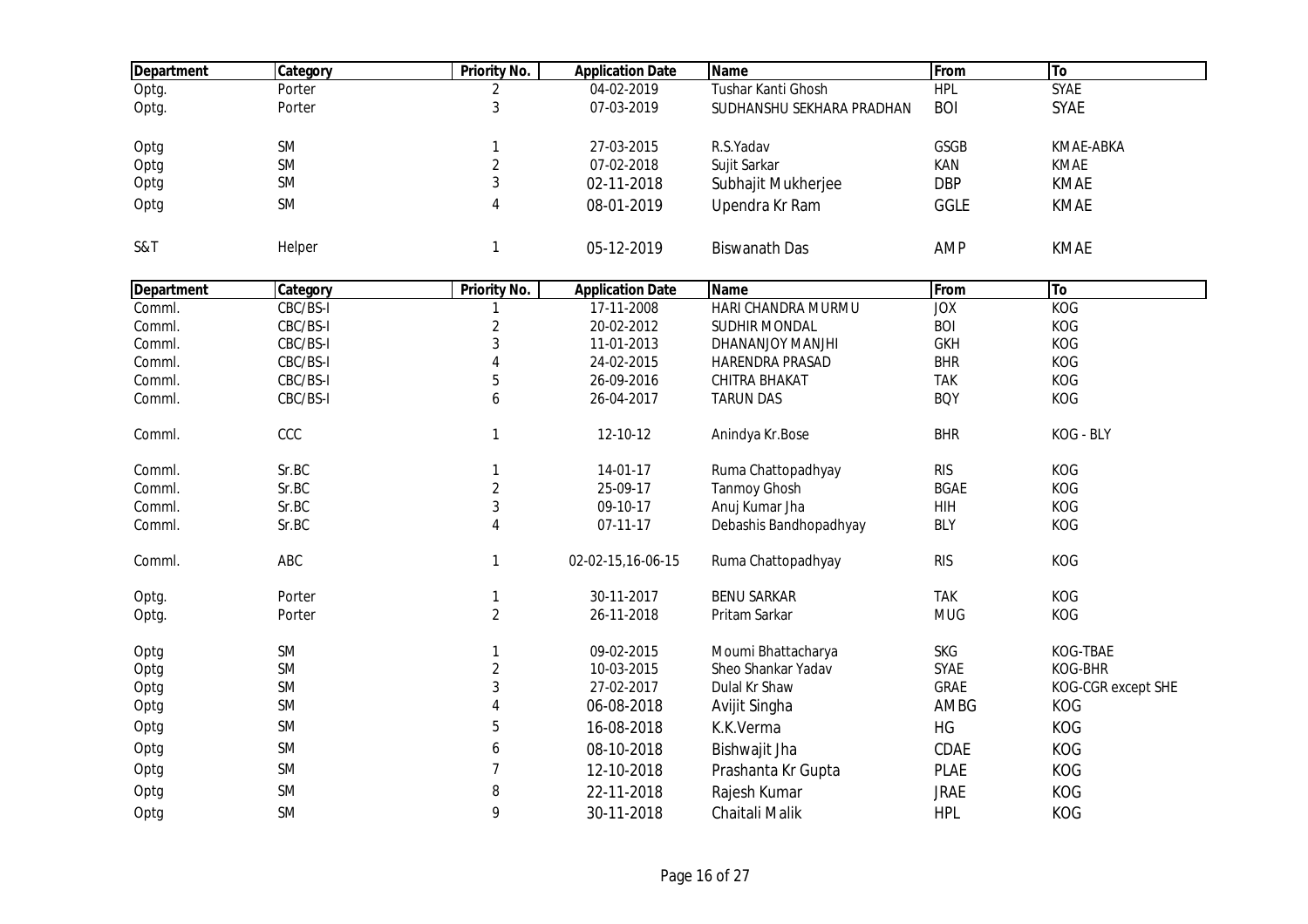| <b>Department</b> | Category  | <b>Priority No.</b> | <b>Application Date</b> | <b>Name</b>               | From        | To                 |
|-------------------|-----------|---------------------|-------------------------|---------------------------|-------------|--------------------|
| Optg.             | Porter    | 2                   | 04-02-2019              | Tushar Kanti Ghosh        | <b>HPL</b>  | <b>SYAE</b>        |
| Optg.             | Porter    | 3                   | 07-03-2019              | SUDHANSHU SEKHARA PRADHAN | <b>BOI</b>  | SYAE               |
| Optg              | SM        | 1                   | 27-03-2015              | R.S.Yadav                 | GSGB        | KMAE-ABKA          |
| Optg              | SM        | $\overline{c}$      | 07-02-2018              | Sujit Sarkar              | KAN         | <b>KMAE</b>        |
| Optg              | SM        | 3                   | 02-11-2018              | Subhajit Mukherjee        | <b>DBP</b>  | <b>KMAE</b>        |
| Optg              | SM        | $\overline{4}$      | 08-01-2019              | Upendra Kr Ram            | GGLE        | <b>KMAE</b>        |
| S&T               | Helper    | $\mathbf{1}$        | 05-12-2019              | <b>Biswanath Das</b>      | <b>AMP</b>  | <b>KMAE</b>        |
| <b>Department</b> | Category  | <b>Priority No.</b> | <b>Application Date</b> | <b>Name</b>               | From        | To                 |
| Comml.            | CBC/BS-I  | 1                   | 17-11-2008              | HARI CHANDRA MURMU        | JOX         | <b>KOG</b>         |
| Comml.            | CBC/BS-I  | $\overline{2}$      | 20-02-2012              | SUDHIR MONDAL             | <b>BOI</b>  | KOG                |
| Comml.            | CBC/BS-I  | 3                   | 11-01-2013              | DHANANJOY MANJHI          | <b>GKH</b>  | KOG                |
| Comml.            | CBC/BS-I  | $\overline{4}$      | 24-02-2015              | HARENDRA PRASAD           | <b>BHR</b>  | KOG                |
| Comml.            | CBC/BS-I  | 5                   | 26-09-2016              | CHITRA BHAKAT             | <b>TAK</b>  | KOG                |
| Comml.            | CBC/BS-I  | 6                   | 26-04-2017              | <b>TARUN DAS</b>          | <b>BQY</b>  | KOG                |
| Comml.            | CCC       | $\mathbf{1}$        | 12-10-12                | Anindya Kr.Bose           | <b>BHR</b>  | KOG - BLY          |
| Comml.            | Sr.BC     | 1                   | 14-01-17                | Ruma Chattopadhyay        | <b>RIS</b>  | KOG                |
| Comml.            | Sr.BC     | $\overline{2}$      | 25-09-17                | <b>Tanmoy Ghosh</b>       | <b>BGAE</b> | KOG                |
| Comml.            | Sr.BC     | 3                   | 09-10-17                | Anuj Kumar Jha            | HIH         | KOG                |
| Comml.            | Sr.BC     | $\overline{4}$      | $07 - 11 - 17$          | Debashis Bandhopadhyay    | <b>BLY</b>  | KOG                |
| Comml.            | ABC       | 1                   | 02-02-15,16-06-15       | Ruma Chattopadhyay        | <b>RIS</b>  | KOG                |
| Optg.             | Porter    | 1                   | 30-11-2017              | <b>BENU SARKAR</b>        | <b>TAK</b>  | KOG                |
| Optg.             | Porter    | $\overline{2}$      | 26-11-2018              | Pritam Sarkar             | <b>MUG</b>  | KOG                |
| Optg              | SM        | 1                   | 09-02-2015              | Moumi Bhattacharya        | <b>SKG</b>  | KOG-TBAE           |
| Optg              | SM        | $\overline{c}$      | 10-03-2015              | Sheo Shankar Yadav        | SYAE        | <b>KOG-BHR</b>     |
| Optg              | SM        | 3                   | 27-02-2017              | Dulal Kr Shaw             | <b>GRAE</b> | KOG-CGR except SHE |
| Optg              | SM        | $\overline{4}$      | 06-08-2018              | Avijit Singha             | AMBG        | KOG                |
| Optg              | SM        | 5                   | 16-08-2018              | K.K.Verma                 | HG          | KOG                |
| Optg              | SM        | 6                   | 08-10-2018              | Bishwajit Jha             | CDAE        | KOG                |
| Optg              | SM        | 7                   | 12-10-2018              | Prashanta Kr Gupta        | <b>PLAE</b> | KOG                |
| Optg              | <b>SM</b> | 8                   | 22-11-2018              | Rajesh Kumar              | <b>JRAE</b> | KOG                |
|                   |           |                     |                         |                           |             |                    |
| Optg              | <b>SM</b> | 9                   | 30-11-2018              | Chaitali Malik            | <b>HPL</b>  | <b>KOG</b>         |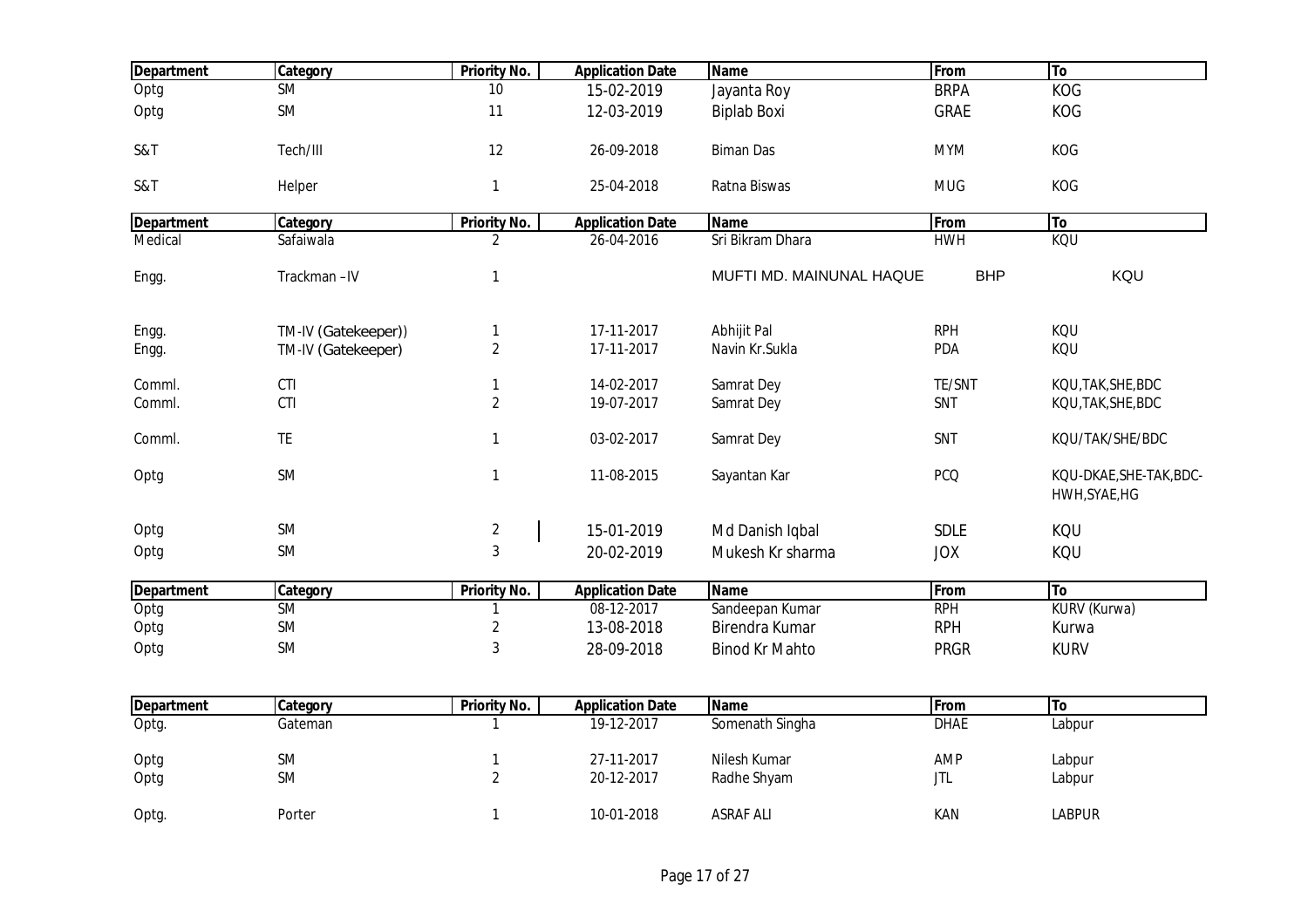| <b>Department</b> | Category            | <b>Priority No.</b> | <b>Application Date</b> | <b>Name</b>              | From        | <b>To</b>                                |
|-------------------|---------------------|---------------------|-------------------------|--------------------------|-------------|------------------------------------------|
| Optg              | <b>SM</b>           | 10                  | 15-02-2019              | Jayanta Roy              | <b>BRPA</b> | <b>KOG</b>                               |
| Optg              | <b>SM</b>           | 11                  | 12-03-2019              | <b>Biplab Boxi</b>       | <b>GRAE</b> | KOG                                      |
| S&T               | Tech/III            | 12                  | 26-09-2018              | <b>Biman Das</b>         | <b>MYM</b>  | KOG                                      |
| S&T               | Helper              | $\mathbf{1}$        | 25-04-2018              | Ratna Biswas             | <b>MUG</b>  | KOG                                      |
| <b>Department</b> | Category            | <b>Priority No.</b> | <b>Application Date</b> | Name                     | From        | To                                       |
| Medical           | Safaiwala           | $\overline{2}$      | 26-04-2016              | Sri Bikram Dhara         | <b>HWH</b>  | <b>KOU</b>                               |
| Engg.             | Trackman-IV         | $\mathbf{1}$        |                         | MUFTI MD. MAINUNAL HAQUE | <b>BHP</b>  | KQU                                      |
| Engg.             | TM-IV (Gatekeeper)) | $\mathbf{1}$        | 17-11-2017              | Abhijit Pal              | <b>RPH</b>  | KQU                                      |
| Engg.             | TM-IV (Gatekeeper)  | $\overline{2}$      | 17-11-2017              | Navin Kr.Sukla           | PDA         | KQU                                      |
| Comml.            | CTI                 | $\mathbf{1}$        | 14-02-2017              | Samrat Dey               | TE/SNT      | KQU,TAK,SHE,BDC                          |
| Comml.            | CTI                 | $\overline{2}$      | 19-07-2017              | Samrat Dey               | SNT         | KQU, TAK, SHE, BDC                       |
| Comml.            | <b>TE</b>           | $\mathbf{1}$        | 03-02-2017              | Samrat Dey               | SNT         | KQU/TAK/SHE/BDC                          |
| Optg              | <b>SM</b>           | $\mathbf{1}$        | 11-08-2015              | Sayantan Kar             | <b>PCQ</b>  | KQU-DKAE, SHE-TAK, BDC-<br>HWH, SYAE, HG |
| Optg              | <b>SM</b>           | $\sqrt{2}$          | 15-01-2019              | Md Danish Iqbal          | <b>SDLE</b> | KQU                                      |
| Optg              | SM                  | 3                   | 20-02-2019              | Mukesh Kr sharma         | <b>JOX</b>  | KQU                                      |
| <b>Department</b> | Category            | <b>Priority No.</b> | <b>Application Date</b> | <b>Name</b>              | From        | To                                       |
| Optg              | SM                  |                     | 08-12-2017              | Sandeepan Kumar          | <b>RPH</b>  | KURV (Kurwa)                             |
| Optg              | <b>SM</b>           | $\sqrt{2}$          | 13-08-2018              | Birendra Kumar           | <b>RPH</b>  | Kurwa                                    |
| Optg              | <b>SM</b>           | 3                   | 28-09-2018              | <b>Binod Kr Mahto</b>    | <b>PRGR</b> | <b>KURV</b>                              |
|                   |                     |                     |                         |                          |             |                                          |
| <b>Department</b> | Category            | <b>Priority No.</b> | <b>Application Date</b> | <b>Name</b>              | From        | To                                       |
| Optg.             | Gateman             | 1                   | 19-12-2017              | Somenath Singha          | <b>DHAE</b> | Labpur                                   |
| Optg              | <b>SM</b>           | $\mathbf{1}$        | 27-11-2017              | Nilesh Kumar             | <b>AMP</b>  | Labpur                                   |

Optg SM 2 20-12-2017 Radhe Shyam JTL Labpur

Optg. Porter 1 10-01-2018 ASRAF ALI KAN LABPUR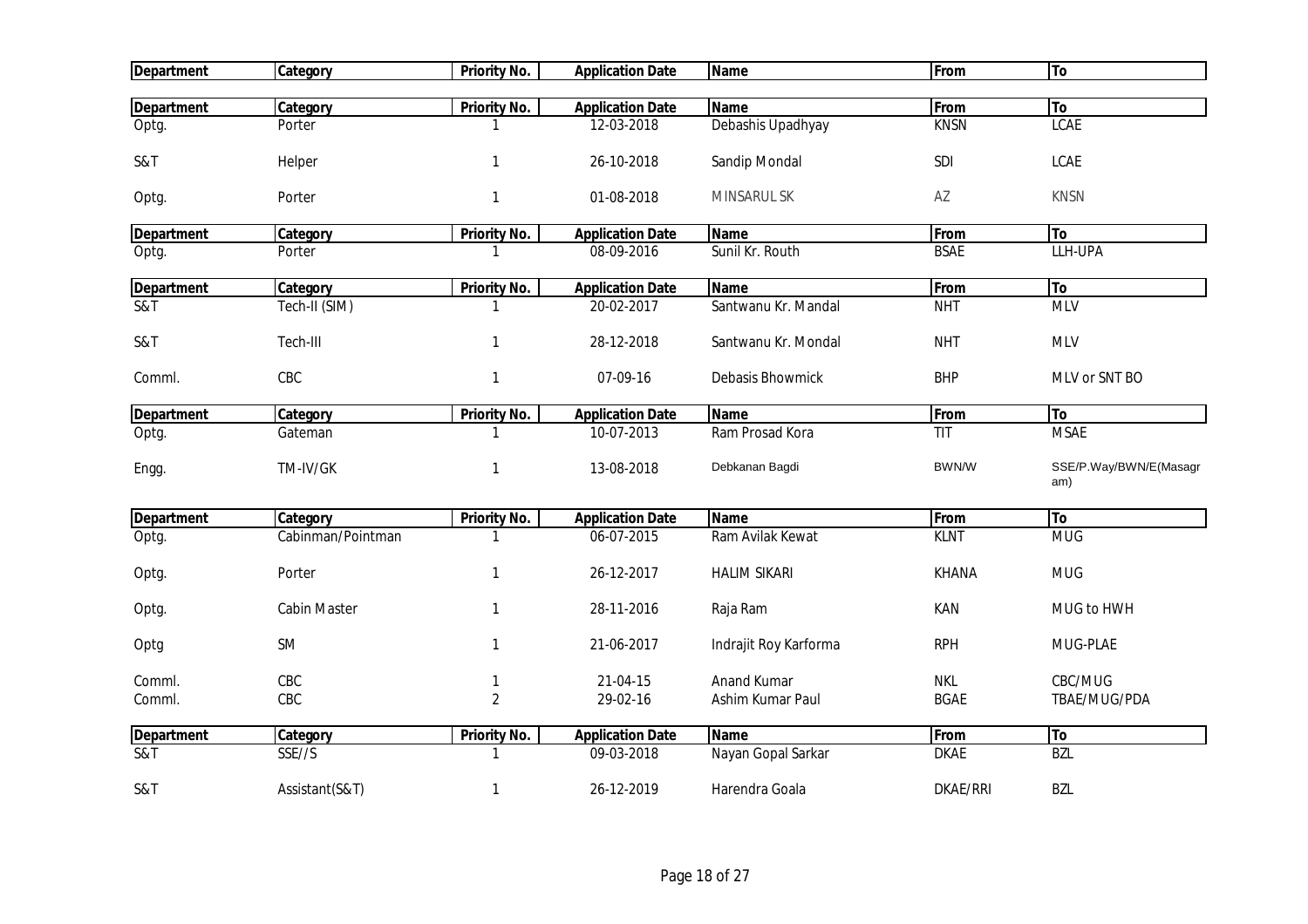| <b>Department</b>        | <b>Category</b>     | <b>Priority No.</b> | <b>Application Date</b>  | <b>Name</b>           | From        | To                            |
|--------------------------|---------------------|---------------------|--------------------------|-----------------------|-------------|-------------------------------|
|                          |                     |                     |                          |                       |             |                               |
| <b>Department</b>        | Category            | <b>Priority No.</b> | <b>Application Date</b>  | <b>Name</b>           | From        | To                            |
| Optg.                    | Porter              | 1                   | 12-03-2018               | Debashis Upadhyay     | <b>KNSN</b> | <b>LCAE</b>                   |
| S&T                      | Helper              | 1                   | 26-10-2018               | Sandip Mondal         | SDI         | LCAE                          |
| Optg.                    | Porter              | 1                   | 01-08-2018               | MINSARUL SK           | AZ          | <b>KNSN</b>                   |
| <b>Department</b>        | Category            | Priority No.        | <b>Application Date</b>  | <b>Name</b>           | From        | To                            |
| Optg.                    | Porter              | 1                   | 08-09-2016               | Sunil Kr. Routh       | <b>BSAE</b> | LLH-UPA                       |
| <b>Department</b>        | Category            | Priority No.        | <b>Application Date</b>  | <b>Name</b>           | From        | To                            |
| S&T                      | Tech-II (SIM)       | 1                   | 20-02-2017               | Santwanu Kr. Mandal   | <b>NHT</b>  | <b>MLV</b>                    |
| S&T                      | Tech-III            | $\mathbf{1}$        | 28-12-2018               | Santwanu Kr. Mondal   | <b>NHT</b>  | <b>MLV</b>                    |
| Comml.                   | CBC                 | 1                   | 07-09-16                 | Debasis Bhowmick      | <b>BHP</b>  | MLV or SNT BO                 |
| <b>Department</b>        | Category            | <b>Priority No.</b> | <b>Application Date</b>  | <b>Name</b>           | From        | To                            |
| Optg.                    | Gateman             | 1                   | 10-07-2013               | Ram Prosad Kora       | <b>TIT</b>  | <b>MSAE</b>                   |
| Engg.                    | TM-IV/GK            | 1                   | 13-08-2018               | Debkanan Bagdi        | BWN/W       | SSE/P.Way/BWN/E(Masagr<br>am) |
| <b>Department</b>        | Category            | <b>Priority No.</b> | <b>Application Date</b>  | <b>Name</b>           | From        | To                            |
| Optg.                    | Cabinman/Pointman   | 1                   | $\overline{06}$ -07-2015 | Ram Avilak Kewat      | <b>KLNT</b> | <b>MUG</b>                    |
| Optg.                    | Porter              | 1                   | 26-12-2017               | <b>HALIM SIKARI</b>   | KHANA       | <b>MUG</b>                    |
| Optg.                    | <b>Cabin Master</b> | $\mathbf{1}$        | 28-11-2016               | Raja Ram              | KAN         | MUG to HWH                    |
| Optg                     | <b>SM</b>           | 1                   | 21-06-2017               | Indrajit Roy Karforma | <b>RPH</b>  | MUG-PLAE                      |
| Comml.                   | CBC                 | 1                   | 21-04-15                 | Anand Kumar           | <b>NKL</b>  | CBC/MUG                       |
| Comml.                   | CBC                 | $\overline{2}$      | 29-02-16                 | Ashim Kumar Paul      | <b>BGAE</b> | TBAE/MUG/PDA                  |
| <b>Department</b>        | Category            | <b>Priority No.</b> | <b>Application Date</b>  | Name                  | From        | To                            |
| $\overline{\text{S}}$ &T | SSE//S              | 1                   | 09-03-2018               | Nayan Gopal Sarkar    | <b>DKAE</b> | <b>BZL</b>                    |
| S&T                      | Assistant(S&T)      | 1                   | 26-12-2019               | Harendra Goala        | DKAE/RRI    | <b>BZL</b>                    |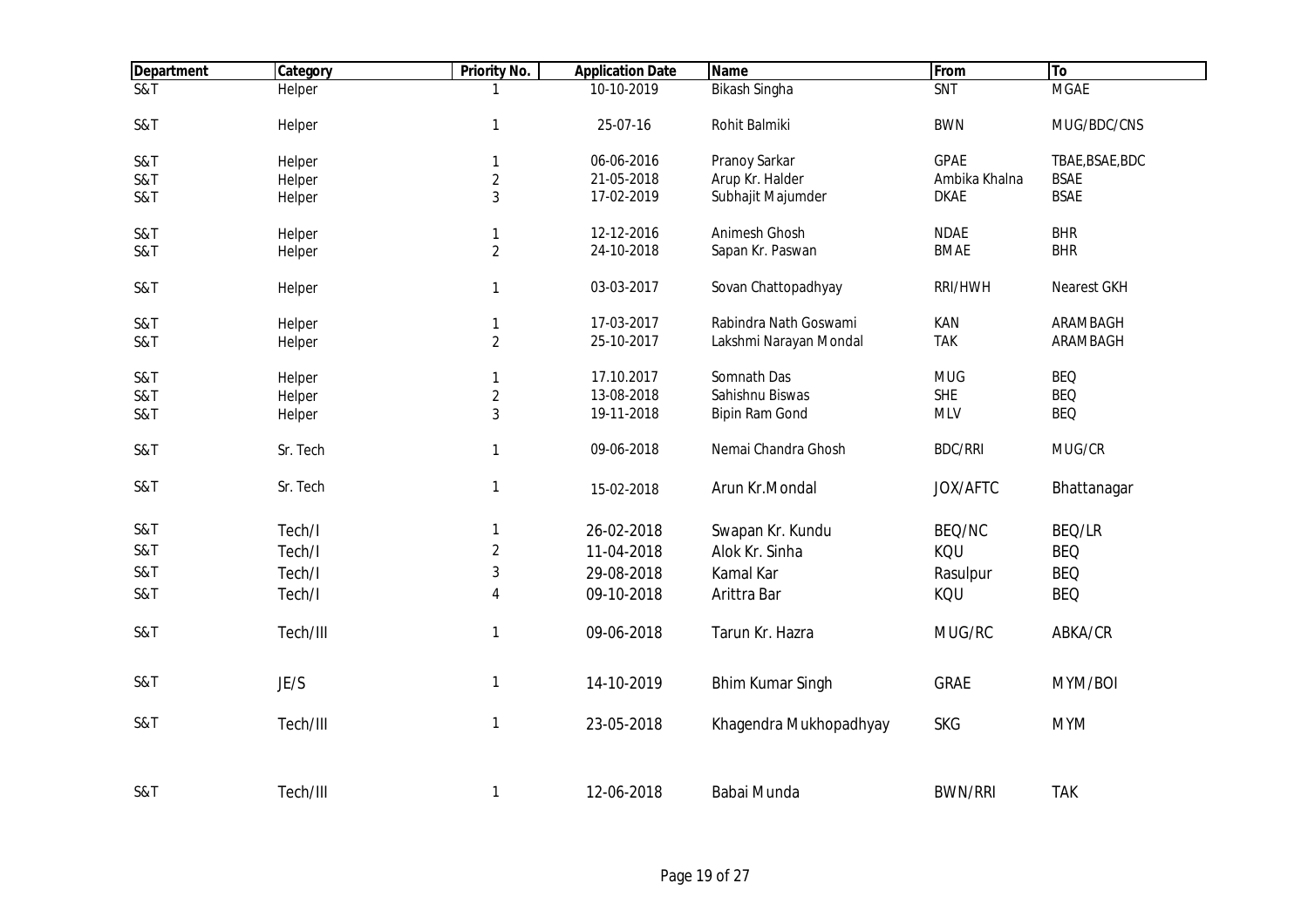| <b>Department</b> | <b>Category</b> | <b>Priority No.</b> | <b>Application Date</b> | <b>Name</b>             | From           | <b>To</b>       |
|-------------------|-----------------|---------------------|-------------------------|-------------------------|----------------|-----------------|
| $\overline{S81}$  | Helper          |                     | 10-10-2019              | <b>Bikash Singha</b>    | <b>SNT</b>     | <b>MGAE</b>     |
| S&T               | Helper          | 1                   | 25-07-16                | Rohit Balmiki           | <b>BWN</b>     | MUG/BDC/CNS     |
| S&T               | Helper          | 1                   | 06-06-2016              | Pranoy Sarkar           | <b>GPAE</b>    | TBAE, BSAE, BDC |
| S&T               | Helper          | $\overline{2}$      | 21-05-2018              | Arup Kr. Halder         | Ambika Khalna  | <b>BSAE</b>     |
| S&T               | Helper          | 3                   | 17-02-2019              | Subhajit Majumder       | <b>DKAE</b>    | <b>BSAE</b>     |
| S&T               | Helper          | $\mathbf{1}$        | 12-12-2016              | Animesh Ghosh           | <b>NDAE</b>    | <b>BHR</b>      |
| S&T               | Helper          | $\overline{2}$      | 24-10-2018              | Sapan Kr. Paswan        | <b>BMAE</b>    | <b>BHR</b>      |
| S&T               | Helper          | 1                   | 03-03-2017              | Sovan Chattopadhyay     | RRI/HWH        | Nearest GKH     |
| S&T               | Helper          | 1                   | 17-03-2017              | Rabindra Nath Goswami   | KAN            | ARAMBAGH        |
| S&T               | Helper          | $\overline{2}$      | 25-10-2017              | Lakshmi Narayan Mondal  | <b>TAK</b>     | ARAMBAGH        |
| S&T               | Helper          | 1                   | 17.10.2017              | Somnath Das             | <b>MUG</b>     | <b>BEQ</b>      |
| S&T               | Helper          | $\overline{2}$      | 13-08-2018              | Sahishnu Biswas         | <b>SHE</b>     | <b>BEQ</b>      |
| S&T               | Helper          | 3                   | 19-11-2018              | Bipin Ram Gond          | <b>MLV</b>     | <b>BEQ</b>      |
| S&T               | Sr. Tech        | 1                   | 09-06-2018              | Nemai Chandra Ghosh     | <b>BDC/RRI</b> | MUG/CR          |
| S&T               | Sr. Tech        | 1                   | 15-02-2018              | Arun Kr.Mondal          | JOX/AFTC       | Bhattanagar     |
| S&T               | Tech/I          | 1                   | 26-02-2018              | Swapan Kr. Kundu        | BEQ/NC         | BEQ/LR          |
| S&T               | Tech/I          | $\overline{2}$      | 11-04-2018              | Alok Kr. Sinha          | KQU            | <b>BEQ</b>      |
| S&T               | Tech/I          | 3                   | 29-08-2018              | Kamal Kar               | Rasulpur       | <b>BEQ</b>      |
| S&T               | Tech/I          | 4                   | 09-10-2018              | Arittra Bar             | KQU            | <b>BEQ</b>      |
| S&T               | Tech/III        | 1                   | 09-06-2018              | Tarun Kr. Hazra         | MUG/RC         | ABKA/CR         |
| S&T               | JE/S            | 1                   | 14-10-2019              | <b>Bhim Kumar Singh</b> | <b>GRAE</b>    | MYM/BOI         |
| S&T               | Tech/III        | 1                   | 23-05-2018              | Khagendra Mukhopadhyay  | <b>SKG</b>     | <b>MYM</b>      |
| S&T               | Tech/III        | 1                   | 12-06-2018              | Babai Munda             | <b>BWN/RRI</b> | <b>TAK</b>      |
|                   |                 |                     |                         |                         |                |                 |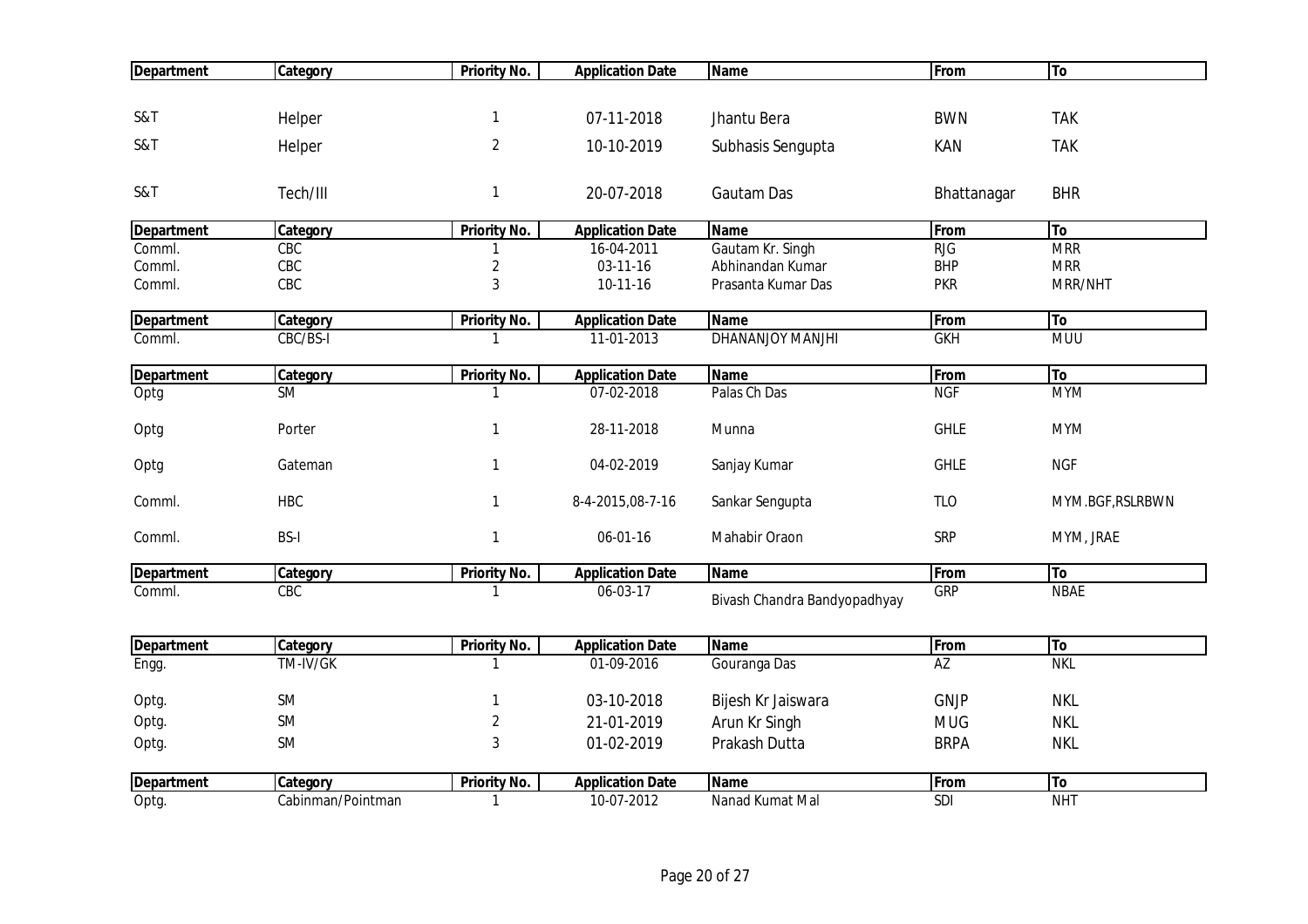| <b>Department</b> | Category          | <b>Priority No.</b>     | <b>Application Date</b> | <b>Name</b>                  | From        | To               |
|-------------------|-------------------|-------------------------|-------------------------|------------------------------|-------------|------------------|
|                   |                   |                         |                         |                              |             |                  |
| S&T               | Helper            | 1                       | 07-11-2018              | Jhantu Bera                  | <b>BWN</b>  | <b>TAK</b>       |
| S&T               | Helper            | $\overline{2}$          | 10-10-2019              | Subhasis Sengupta            | KAN         | <b>TAK</b>       |
| S&T               | Tech/III          | $\mathbf{1}$            | 20-07-2018              | Gautam Das                   | Bhattanagar | <b>BHR</b>       |
|                   |                   |                         |                         |                              |             |                  |
| <b>Department</b> | Category          | Priority No.            | <b>Application Date</b> | <b>Name</b>                  | From        | To               |
| Comml.            | CBC               |                         | 16-04-2011              | Gautam Kr. Singh             | RJG         | <b>MRR</b>       |
| Comml.            | CBC               | $\overline{\mathbf{c}}$ | 03-11-16                | Abhinandan Kumar             | <b>BHP</b>  | <b>MRR</b>       |
| Comml.            | CBC               | 3                       | 10-11-16                | Prasanta Kumar Das           | <b>PKR</b>  | MRR/NHT          |
| <b>Department</b> | Category          | <b>Priority No.</b>     | <b>Application Date</b> | <b>Name</b>                  | From        | To               |
| Comml.            | CBC/BS-I          |                         | 11-01-2013              | <b>DHANANJOY MANJHI</b>      | <b>GKH</b>  | <b>MUU</b>       |
| <b>Department</b> | Category          | Priority No.            | <b>Application Date</b> | <b>Name</b>                  | From        | To               |
| Optg              | <b>SM</b>         | 1                       | 07-02-2018              | Palas Ch Das                 | <b>NGF</b>  | <b>MYM</b>       |
| Optg              | Porter            | $\mathbf{1}$            | 28-11-2018              | Munna                        | <b>GHLE</b> | <b>MYM</b>       |
| Optg              | Gateman           | $\mathbf{1}$            | 04-02-2019              | Sanjay Kumar                 | <b>GHLE</b> | <b>NGF</b>       |
| Comml.            | <b>HBC</b>        | $\mathbf{1}$            | 8-4-2015,08-7-16        | Sankar Sengupta              | <b>TLO</b>  | MYM.BGF, RSLRBWN |
| Comml.            | <b>BS-I</b>       | $\mathbf{1}$            | 06-01-16                | Mahabir Oraon                | <b>SRP</b>  | MYM, JRAE        |
| <b>Department</b> | Category          | <b>Priority No.</b>     | <b>Application Date</b> | <b>Name</b>                  | From        | To               |
| Comml.            | CBC               |                         | 06-03-17                | Bivash Chandra Bandyopadhyay | <b>GRP</b>  | <b>NBAE</b>      |
| <b>Department</b> | Category          | <b>Priority No.</b>     | <b>Application Date</b> | <b>Name</b>                  | From        | To               |
| Engg.             | TM-IV/GK          | 1                       | 01-09-2016              | Gouranga Das                 | AZ          | <b>NKL</b>       |
|                   |                   |                         |                         |                              |             |                  |
| Optg.             | SM                |                         | 03-10-2018              | Bijesh Kr Jaiswara           | GNJP        | <b>NKL</b>       |
| Optg.             | SM                | $\sqrt{2}$              | 21-01-2019              | Arun Kr Singh                | <b>MUG</b>  | <b>NKL</b>       |
| Optg.             | SM                | $\sqrt{3}$              | 01-02-2019              | Prakash Dutta                | <b>BRPA</b> | <b>NKL</b>       |
| <b>Department</b> | Category          | Priority No.            | <b>Application Date</b> | <b>Name</b>                  | From        | To               |
| Optg.             | Cabinman/Pointman | $\mathbf{1}$            | 10-07-2012              | Nanad Kumat Mal              | <b>SDI</b>  | NHT              |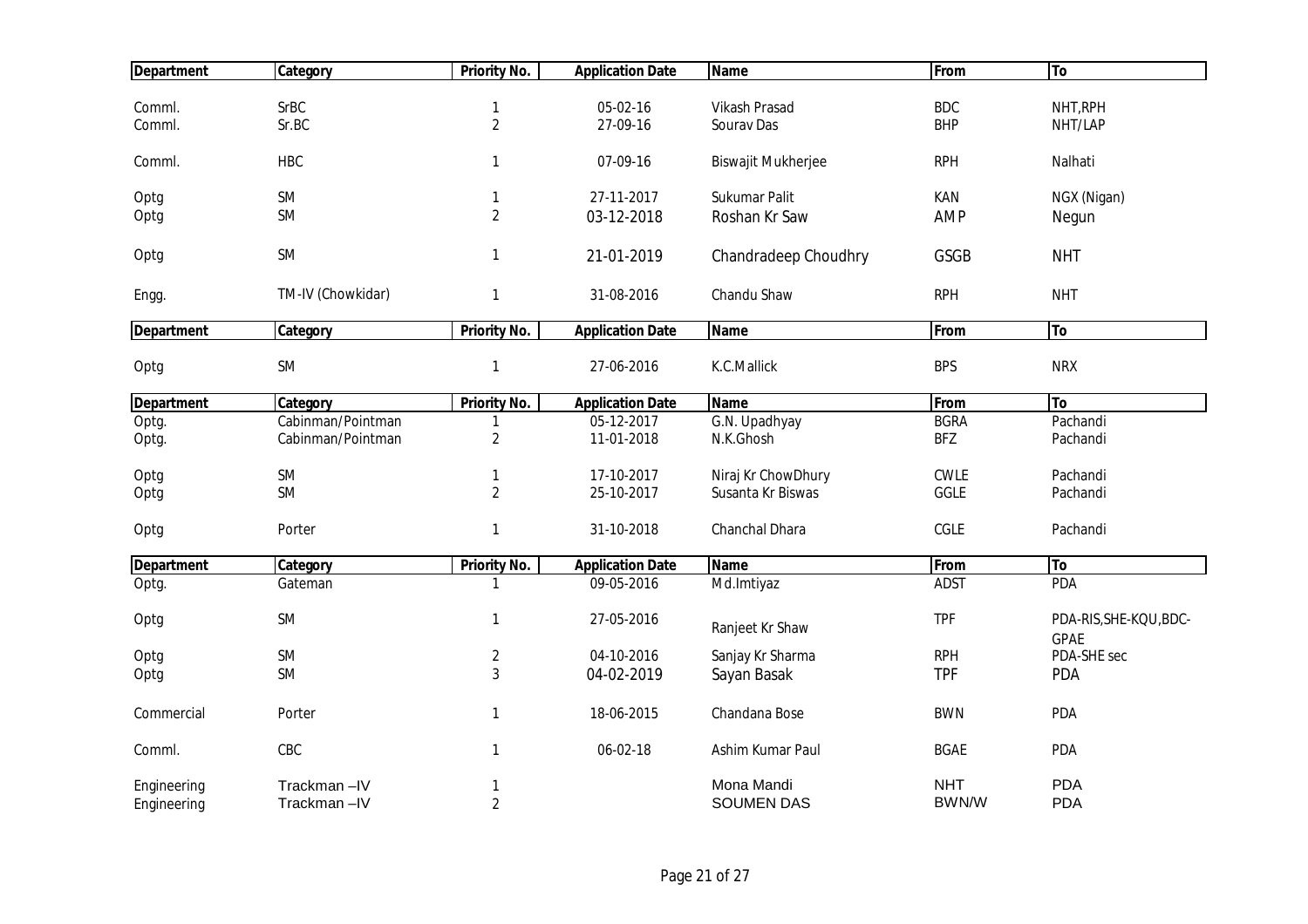| <b>Department</b> | Category          | <b>Priority No.</b> | <b>Application Date</b> | <b>Name</b>               | From        | To                     |
|-------------------|-------------------|---------------------|-------------------------|---------------------------|-------------|------------------------|
|                   |                   |                     |                         |                           |             |                        |
| Comml.            | <b>SrBC</b>       | 1                   | 05-02-16                | Vikash Prasad             | <b>BDC</b>  | NHT, RPH               |
| Comml.            | Sr.BC             | $\overline{2}$      | 27-09-16                | Sourav Das                | <b>BHP</b>  | NHT/LAP                |
| Comml.            | <b>HBC</b>        | 1                   | 07-09-16                | <b>Biswajit Mukherjee</b> | <b>RPH</b>  | Nalhati                |
| Optg              | SM                | 1                   | 27-11-2017              | Sukumar Palit             | KAN         | NGX (Nigan)            |
| Optg              | <b>SM</b>         | $\overline{2}$      | 03-12-2018              | Roshan Kr Saw             | <b>AMP</b>  | Negun                  |
|                   |                   |                     |                         |                           |             |                        |
| Optg              | SM                | 1                   | 21-01-2019              | Chandradeep Choudhry      | GSGB        | <b>NHT</b>             |
| Engg.             | TM-IV (Chowkidar) | $\mathbf{1}$        | 31-08-2016              | Chandu Shaw               | <b>RPH</b>  | <b>NHT</b>             |
| <b>Department</b> | Category          | Priority No.        | <b>Application Date</b> | <b>Name</b>               | From        | To                     |
|                   |                   |                     |                         |                           |             |                        |
| Optg              | SM                | $\mathbf{1}$        | 27-06-2016              | K.C.Mallick               | <b>BPS</b>  | <b>NRX</b>             |
| <b>Department</b> | Category          | Priority No.        | <b>Application Date</b> | Name                      | From        | <b>To</b>              |
| Optg.             | Cabinman/Pointman | 1                   | 05-12-2017              | G.N. Upadhyay             | <b>BGRA</b> | Pachandi               |
| Optg.             | Cabinman/Pointman | $\overline{2}$      | 11-01-2018              | N.K.Ghosh                 | <b>BFZ</b>  | Pachandi               |
| Optg              | SM                | 1                   | 17-10-2017              | Niraj Kr ChowDhury        | <b>CWLE</b> | Pachandi               |
| Optg              | SM                | $\overline{2}$      | 25-10-2017              | Susanta Kr Biswas         | GGLE        | Pachandi               |
|                   |                   |                     |                         |                           |             |                        |
| Optg              | Porter            | 1                   | 31-10-2018              | Chanchal Dhara            | CGLE        | Pachandi               |
| <b>Department</b> | Category          | <b>Priority No.</b> | <b>Application Date</b> | <b>Name</b>               | From        | To                     |
| Optg.             | Gateman           | 1                   | 09-05-2016              | Md.Imtiyaz                | <b>ADST</b> | <b>PDA</b>             |
| Optg              | SM                | 1                   | 27-05-2016              |                           | <b>TPF</b>  | PDA-RIS, SHE-KQU, BDC- |
|                   |                   |                     |                         | Ranjeet Kr Shaw           |             | <b>GPAE</b>            |
| Optg              | SM                | $\sqrt{2}$          | 04-10-2016              | Sanjay Kr Sharma          | <b>RPH</b>  | PDA-SHE sec            |
| Optg              | <b>SM</b>         | 3                   | 04-02-2019              | Sayan Basak               | <b>TPF</b>  | <b>PDA</b>             |
| Commercial        | Porter            | 1                   | 18-06-2015              | Chandana Bose             | <b>BWN</b>  | <b>PDA</b>             |
|                   |                   |                     |                         |                           |             |                        |
| Comml.            | CBC               | 1                   | 06-02-18                | Ashim Kumar Paul          | <b>BGAE</b> | <b>PDA</b>             |
| Engineering       | Trackman-IV       | 1                   |                         | Mona Mandi                | <b>NHT</b>  | <b>PDA</b>             |
| Engineering       | Trackman-IV       | $\overline{2}$      |                         | <b>SOUMEN DAS</b>         | BWN/W       | <b>PDA</b>             |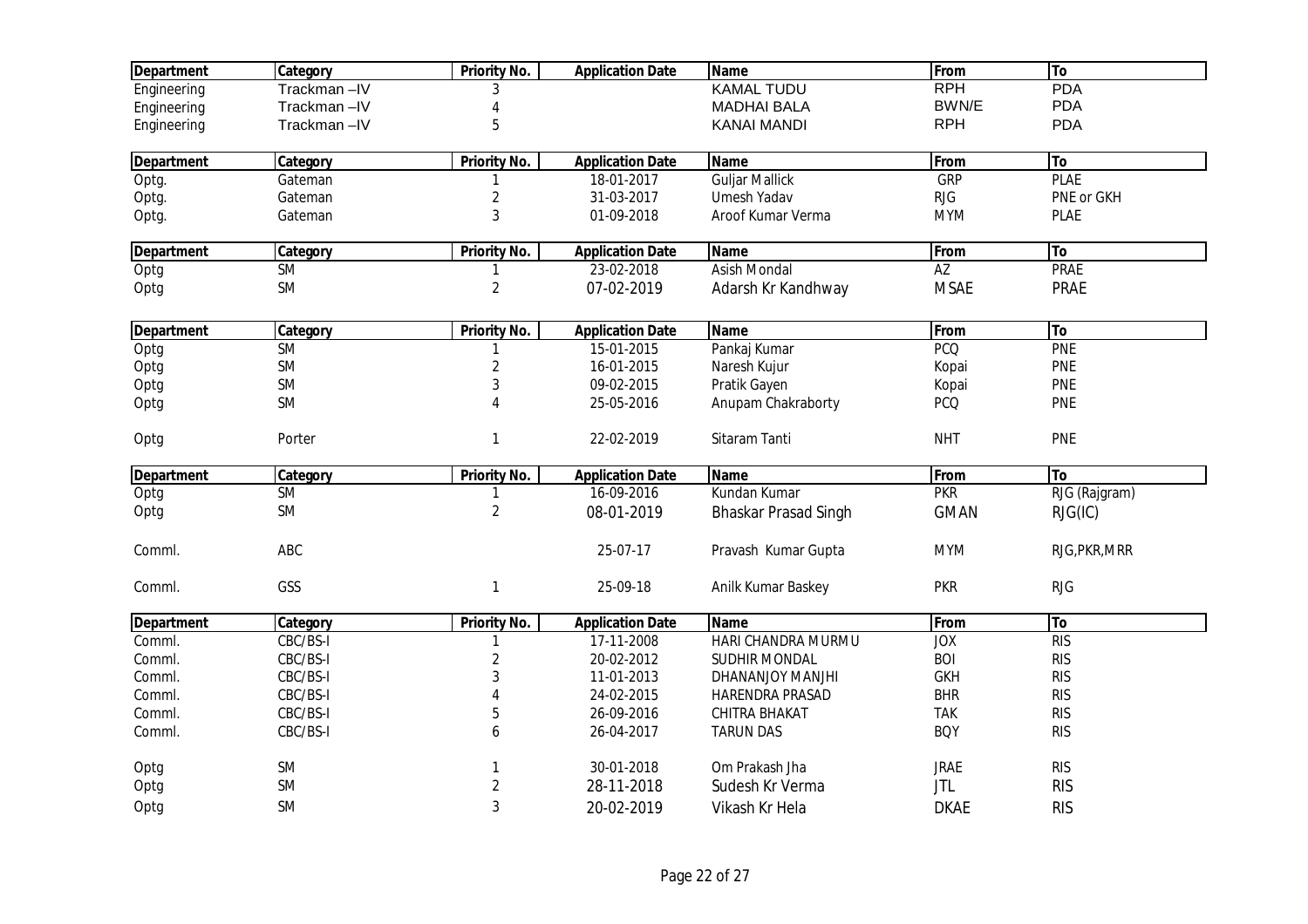| <b>Department</b> | Category    | Priority No.        | <b>Application Date</b> | <b>Name</b>                 | From        | To            |
|-------------------|-------------|---------------------|-------------------------|-----------------------------|-------------|---------------|
| Engineering       | Trackman-IV | 3                   |                         | <b>KAMAL TUDU</b>           | <b>RPH</b>  | <b>PDA</b>    |
| Engineering       | Trackman-IV |                     |                         | <b>MADHAI BALA</b>          | BWN/E       | PDA           |
| Engineering       | Trackman-IV | 5                   |                         | <b>KANAI MANDI</b>          | <b>RPH</b>  | <b>PDA</b>    |
| <b>Department</b> | Category    | <b>Priority No.</b> | <b>Application Date</b> | <b>Name</b>                 | From        | To            |
| Optg.             | Gateman     |                     | 18-01-2017              | <b>Guljar Mallick</b>       | GRP         | <b>PLAE</b>   |
| Optg.             | Gateman     | $\overline{2}$      | 31-03-2017              | Umesh Yadav                 | <b>RJG</b>  | PNE or GKH    |
| Optg.             | Gateman     | 3                   | 01-09-2018              | Aroof Kumar Verma           | <b>MYM</b>  | <b>PLAE</b>   |
| <b>Department</b> | Category    | <b>Priority No.</b> | <b>Application Date</b> | <b>Name</b>                 | From        | To            |
| Optg              | <b>SM</b>   |                     | 23-02-2018              | <b>Asish Mondal</b>         | AZ          | <b>PRAE</b>   |
| Optg              | SM          | $\overline{2}$      | 07-02-2019              | Adarsh Kr Kandhway          | <b>MSAE</b> | PRAE          |
| <b>Department</b> | Category    | <b>Priority No.</b> | <b>Application Date</b> | <b>Name</b>                 | From        | To            |
| Optg              | <b>SM</b>   |                     | 15-01-2015              | Pankaj Kumar                | <b>PCQ</b>  | PNE           |
| Optg              | SM          | $\overline{2}$      | 16-01-2015              | Naresh Kujur                | Kopai       | <b>PNE</b>    |
| Optg              | SM          | 3                   | 09-02-2015              | Pratik Gayen                | Kopai       | <b>PNE</b>    |
| Optg              | SM          |                     | 25-05-2016              | Anupam Chakraborty          | <b>PCQ</b>  | <b>PNE</b>    |
| Optg              | Porter      | 1                   | 22-02-2019              | Sitaram Tanti               | <b>NHT</b>  | <b>PNE</b>    |
| <b>Department</b> | Category    | Priority No.        | <b>Application Date</b> | <b>Name</b>                 | From        | To            |
| Optg              | <b>SM</b>   |                     | 16-09-2016              | Kundan Kumar                | <b>PKR</b>  | RJG (Rajgram) |
| Optg              | <b>SM</b>   | $\overline{2}$      | 08-01-2019              | <b>Bhaskar Prasad Singh</b> | <b>GMAN</b> | RJG(IC)       |
| Comml.            | ABC         |                     | 25-07-17                | Pravash Kumar Gupta         | <b>MYM</b>  | RJG, PKR, MRR |
| Comml.            | GSS         | $\mathbf{1}$        | 25-09-18                | Anilk Kumar Baskey          | <b>PKR</b>  | RJG           |
| <b>Department</b> | Category    | <b>Priority No.</b> | <b>Application Date</b> | <b>Name</b>                 | From        | To            |
| Comml.            | CBC/BS-I    | 1                   | 17-11-2008              | HARI CHANDRA MURMU          | <b>JOX</b>  | <b>RIS</b>    |
| Comml.            | CBC/BS-I    | 2                   | 20-02-2012              | SUDHIR MONDAL               | <b>BOI</b>  | <b>RIS</b>    |
| Comml.            | CBC/BS-I    | 3                   | 11-01-2013              | DHANANJOY MANJHI            | <b>GKH</b>  | <b>RIS</b>    |
| Comml.            | CBC/BS-I    |                     | 24-02-2015              | HARENDRA PRASAD             | <b>BHR</b>  | <b>RIS</b>    |
| Comml.            | CBC/BS-I    | 5                   | 26-09-2016              | CHITRA BHAKAT               | <b>TAK</b>  | <b>RIS</b>    |
| Comml.            | CBC/BS-I    | 6                   | 26-04-2017              | <b>TARUN DAS</b>            | <b>BOY</b>  | <b>RIS</b>    |
| Optg              | SM          |                     | 30-01-2018              | Om Prakash Jha              | <b>JRAE</b> | <b>RIS</b>    |
| Optg              | SM          | 2                   | 28-11-2018              | Sudesh Kr Verma             | <b>JTL</b>  | <b>RIS</b>    |
| Optg              | SM          | 3                   | 20-02-2019              | Vikash Kr Hela              | <b>DKAE</b> | <b>RIS</b>    |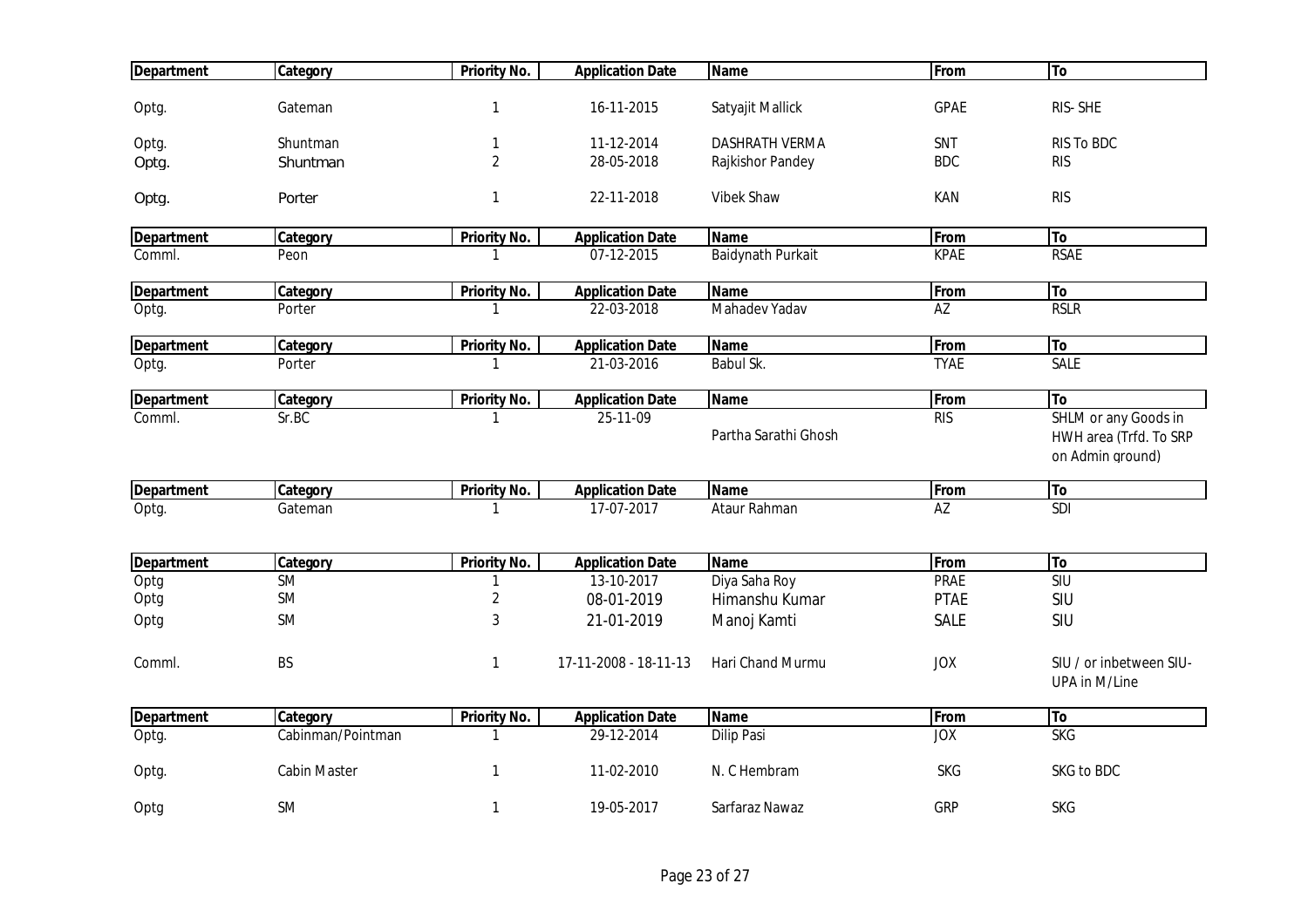| <b>Department</b> | Category          | <b>Priority No.</b> | <b>Application Date</b> | <b>Name</b>              | From            | To                      |
|-------------------|-------------------|---------------------|-------------------------|--------------------------|-----------------|-------------------------|
|                   |                   |                     |                         |                          |                 |                         |
| Optg.             | Gateman           | 1                   | 16-11-2015              | Satyajit Mallick         | <b>GPAE</b>     | RIS-SHE                 |
| Optg.             | Shuntman          |                     | 11-12-2014              | <b>DASHRATH VERMA</b>    | SNT             | <b>RIS To BDC</b>       |
| Optg.             | Shuntman          | $\overline{2}$      | 28-05-2018              | Rajkishor Pandey         | <b>BDC</b>      | <b>RIS</b>              |
|                   |                   |                     |                         |                          |                 |                         |
| Optg.             | Porter            | 1                   | 22-11-2018              | <b>Vibek Shaw</b>        | KAN             | <b>RIS</b>              |
| <b>Department</b> | Category          | <b>Priority No.</b> | <b>Application Date</b> | <b>Name</b>              | From            | To                      |
| Comml.            | Peon              |                     | 07-12-2015              | <b>Baidynath Purkait</b> | <b>KPAE</b>     | <b>RSAE</b>             |
| <b>Department</b> | Category          | <b>Priority No.</b> | <b>Application Date</b> | <b>Name</b>              | From            | To                      |
| Optg.             | Porter            |                     | 22-03-2018              | Mahadev Yadav            | $\overline{AZ}$ | <b>RSLR</b>             |
|                   |                   |                     |                         |                          |                 |                         |
| <b>Department</b> | Category          | <b>Priority No.</b> | <b>Application Date</b> | <b>Name</b>              | From            | To                      |
| Optg.             | Porter            | 1                   | 21-03-2016              | Babul Sk.                | <b>TYAE</b>     | <b>SALE</b>             |
| <b>Department</b> | Category          | <b>Priority No.</b> | <b>Application Date</b> | <b>Name</b>              | From            | To                      |
| Comml.            | Sr.BC             | 1                   | 25-11-09                |                          | RIS             | SHLM or any Goods in    |
|                   |                   |                     |                         | Partha Sarathi Ghosh     |                 | HWH area (Trfd. To SRP  |
|                   |                   |                     |                         |                          |                 | on Admin ground)        |
| <b>Department</b> | Category          | Priority No.        | <b>Application Date</b> | <b>Name</b>              | From            | To                      |
| Optg.             | Gateman           | 1                   | 17-07-2017              | Ataur Rahman             | AZ              | $\overline{SDI}$        |
|                   |                   |                     |                         |                          |                 |                         |
| <b>Department</b> | Category          | <b>Priority No.</b> | <b>Application Date</b> | <b>Name</b>              | From            | To                      |
| Optg              | <b>SM</b>         | 1                   | 13-10-2017              | Diya Saha Roy            | <b>PRAE</b>     | SIU                     |
| Optg              | SM                | $\sqrt{2}$          | 08-01-2019              | Himanshu Kumar           | <b>PTAE</b>     | SIU                     |
| Optg              | <b>SM</b>         | 3                   | 21-01-2019              | Manoj Kamti              | SALE            | SIU                     |
|                   |                   |                     |                         |                          |                 |                         |
| Comml.            | <b>BS</b>         | 1                   | 17-11-2008 - 18-11-13   | Hari Chand Murmu         | <b>JOX</b>      | SIU / or inbetween SIU- |
|                   |                   |                     |                         |                          |                 | UPA in M/Line           |
| <b>Department</b> | Category          | <b>Priority No.</b> | <b>Application Date</b> | <b>Name</b>              | <b>From</b>     | T <sub>o</sub>          |
| Optg.             | Cabinman/Pointman |                     | 29-12-2014              | <b>Dilip Pasi</b>        | <b>JOX</b>      | <b>SKG</b>              |
| Optg.             | Cabin Master      | 1                   | 11-02-2010              | N. C Hembram             | <b>SKG</b>      | SKG to BDC              |
|                   |                   |                     |                         |                          |                 |                         |
| Optg              | <b>SM</b>         | 1                   | 19-05-2017              | Sarfaraz Nawaz           | GRP             | SKG                     |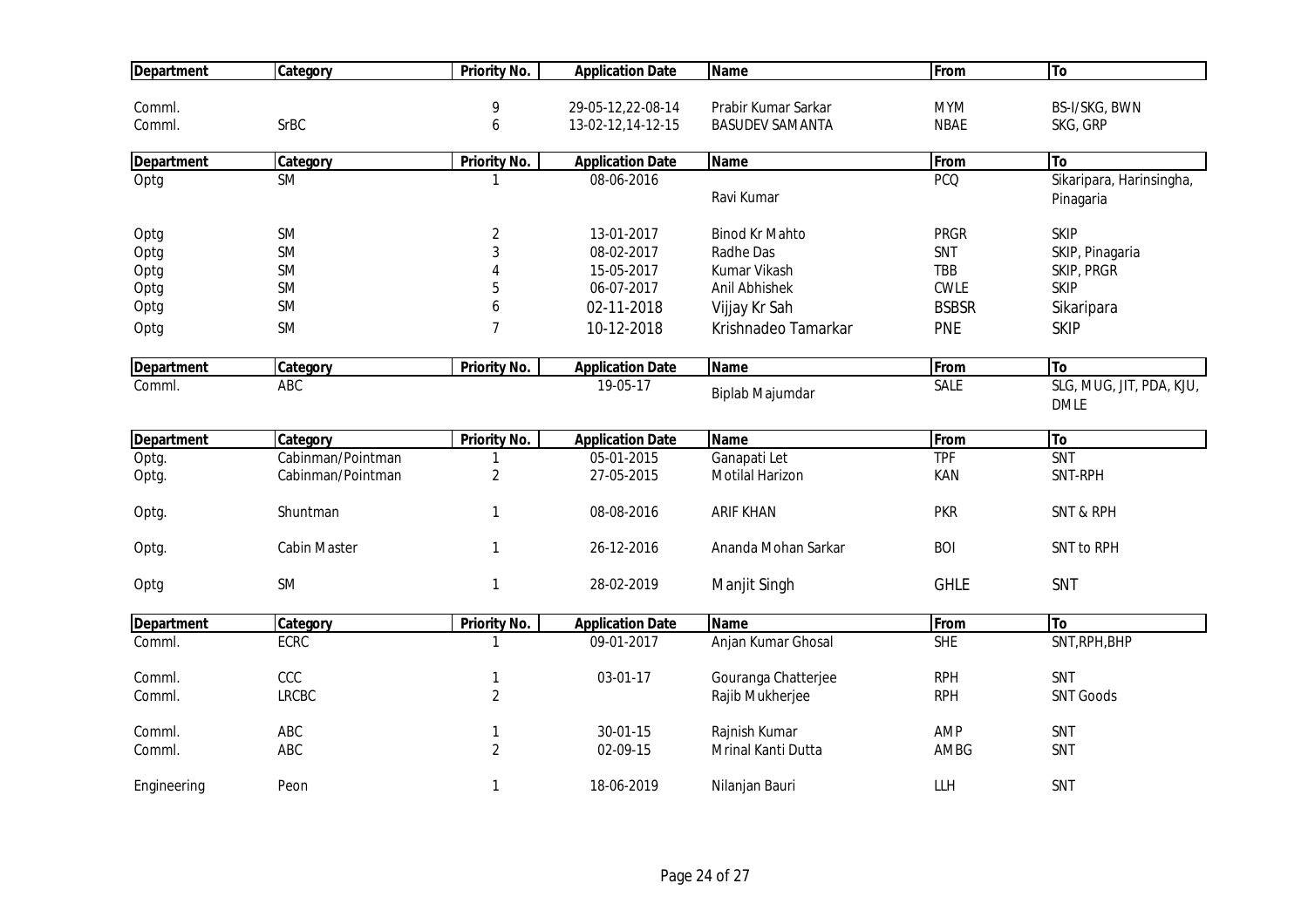| <b>Department</b> | Category            | <b>Priority No.</b> | <b>Application Date</b> | <b>Name</b>            | From         | <b>To</b>                               |
|-------------------|---------------------|---------------------|-------------------------|------------------------|--------------|-----------------------------------------|
|                   |                     |                     |                         |                        |              |                                         |
| Comml.            |                     | 9                   | 29-05-12,22-08-14       | Prabir Kumar Sarkar    | <b>MYM</b>   | BS-I/SKG, BWN                           |
| Comml.            | <b>SrBC</b>         | 6                   | 13-02-12,14-12-15       | <b>BASUDEV SAMANTA</b> | <b>NBAE</b>  | SKG, GRP                                |
| <b>Department</b> | Category            | <b>Priority No.</b> | <b>Application Date</b> | <b>Name</b>            | From         | <b>To</b>                               |
| Optg              | <b>SM</b>           | -1                  | 08-06-2016              |                        | <b>PCQ</b>   | Sikaripara, Harinsingha,                |
|                   |                     |                     |                         | Ravi Kumar             |              | Pinagaria                               |
| Optg              | SM                  | $\overline{2}$      | 13-01-2017              | <b>Binod Kr Mahto</b>  | <b>PRGR</b>  | <b>SKIP</b>                             |
| Optg              | <b>SM</b>           | 3                   | 08-02-2017              | Radhe Das              | SNT          | SKIP, Pinagaria                         |
| Optg              | <b>SM</b>           |                     | 15-05-2017              | Kumar Vikash           | <b>TBB</b>   | SKIP, PRGR                              |
| Optg              | <b>SM</b>           | 5                   | 06-07-2017              | Anil Abhishek          | <b>CWLE</b>  | <b>SKIP</b>                             |
| Optg              | <b>SM</b>           | 6                   | 02-11-2018              | Vijjay Kr Sah          | <b>BSBSR</b> | Sikaripara                              |
| Optg              | <b>SM</b>           | 7                   | 10-12-2018              | Krishnadeo Tamarkar    | <b>PNE</b>   | <b>SKIP</b>                             |
| <b>Department</b> | Category            | <b>Priority No.</b> | <b>Application Date</b> | <b>Name</b>            | From         | To                                      |
| Comml.            | ABC                 |                     | 19-05-17                | Biplab Majumdar        | SALE         | SLG, MUG, JIT, PDA, KJU,<br><b>DMLE</b> |
| <b>Department</b> | Category            | <b>Priority No.</b> | <b>Application Date</b> | <b>Name</b>            | From         | To                                      |
| Optg.             | Cabinman/Pointman   | 1                   | 05-01-2015              | Ganapati Let           | <b>TPF</b>   | <b>SNT</b>                              |
| Optg.             | Cabinman/Pointman   | $\overline{2}$      | 27-05-2015              | Motilal Harizon        | KAN          | SNT-RPH                                 |
| Optg.             | Shuntman            | $\mathbf{1}$        | 08-08-2016              | <b>ARIF KHAN</b>       | <b>PKR</b>   | <b>SNT &amp; RPH</b>                    |
| Optg.             | <b>Cabin Master</b> | $\mathbf{1}$        | 26-12-2016              | Ananda Mohan Sarkar    | <b>BOI</b>   | SNT to RPH                              |
| Optg              | <b>SM</b>           | $\mathbf{1}$        | 28-02-2019              | Manjit Singh           | <b>GHLE</b>  | SNT                                     |
| Department        | Category            | <b>Priority No.</b> | <b>Application Date</b> | <b>Name</b>            | From         | To                                      |
| Comml.            | ECRC                |                     | 09-01-2017              | Anjan Kumar Ghosal     | <b>SHE</b>   | SNT, RPH, BHP                           |
| Comml.            | CCC                 | $\mathbf{1}$        | 03-01-17                | Gouranga Chatterjee    | <b>RPH</b>   | <b>SNT</b>                              |
| Comml.            | <b>LRCBC</b>        | $\overline{2}$      |                         | Rajib Mukherjee        | <b>RPH</b>   | <b>SNT Goods</b>                        |
| Comml.            | ABC                 | 1                   | 30-01-15                | Rajnish Kumar          | AMP          | SNT                                     |
| Comml.            | ABC                 | $\overline{2}$      | 02-09-15                | Mrinal Kanti Dutta     | AMBG         | SNT                                     |
| Engineering       | Peon                | 1                   | 18-06-2019              | Nilanjan Bauri         | LLH          | SNT                                     |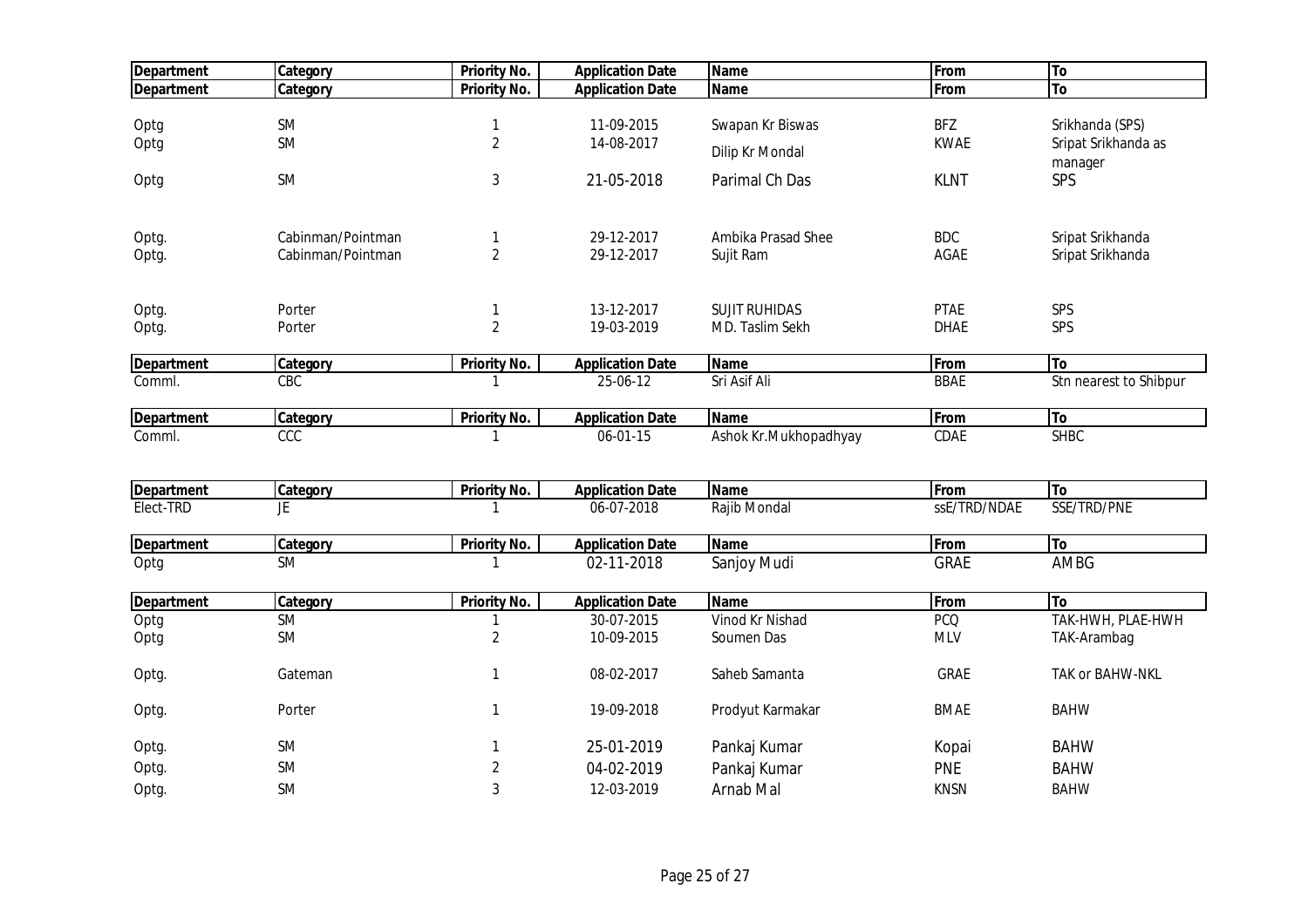| <b>Department</b> | Category          | <b>Priority No.</b> | <b>Application Date</b> | <b>Name</b>           | From         | To                     |
|-------------------|-------------------|---------------------|-------------------------|-----------------------|--------------|------------------------|
| <b>Department</b> | Category          | <b>Priority No.</b> | <b>Application Date</b> | <b>Name</b>           | From         | To                     |
|                   |                   |                     |                         |                       |              |                        |
| Optg              | <b>SM</b>         | 1                   | 11-09-2015              | Swapan Kr Biswas      | <b>BFZ</b>   | Srikhanda (SPS)        |
| Optg              | <b>SM</b>         | $\overline{2}$      | 14-08-2017              | Dilip Kr Mondal       | <b>KWAE</b>  | Sripat Srikhanda as    |
|                   |                   |                     |                         |                       |              | manager                |
| Optg              | <b>SM</b>         | 3                   | 21-05-2018              | Parimal Ch Das        | <b>KLNT</b>  | SPS                    |
|                   |                   |                     |                         |                       |              |                        |
| Optg.             | Cabinman/Pointman | 1                   | 29-12-2017              | Ambika Prasad Shee    | <b>BDC</b>   | Sripat Srikhanda       |
| Optg.             | Cabinman/Pointman | $\overline{2}$      | 29-12-2017              | Sujit Ram             | AGAE         | Sripat Srikhanda       |
| Optg.             | Porter            | 1                   | 13-12-2017              | <b>SUJIT RUHIDAS</b>  | <b>PTAE</b>  | SPS                    |
| Optg.             | Porter            | $\overline{2}$      | 19-03-2019              | MD. Taslim Sekh       | <b>DHAE</b>  | SPS                    |
| <b>Department</b> | Category          | <b>Priority No.</b> | <b>Application Date</b> | <b>Name</b>           | From         | To                     |
| Comml.            | CBC               |                     | 25-06-12                | Sri Asif Ali          | <b>BBAE</b>  | Stn nearest to Shibpur |
| <b>Department</b> | Category          | <b>Priority No.</b> | <b>Application Date</b> | <b>Name</b>           | From         | To                     |
| Comml.            | CCC               | 1                   | 06-01-15                | Ashok Kr.Mukhopadhyay | CDAE         | <b>SHBC</b>            |
|                   |                   |                     |                         |                       |              |                        |
| <b>Department</b> | Category          | <b>Priority No.</b> | <b>Application Date</b> | <b>Name</b>           | From         | To                     |
| Elect-TRD         | JE                | $\mathbf{1}$        | 06-07-2018              | Rajib Mondal          | ssE/TRD/NDAE | SSE/TRD/PNE            |
| <b>Department</b> | Category          | <b>Priority No.</b> | <b>Application Date</b> | <b>Name</b>           | From         | To                     |
| Optg              | <b>SM</b>         |                     | 02-11-2018              | Sanjoy Mudi           | <b>GRAE</b>  | <b>AMBG</b>            |
| <b>Department</b> | Category          | <b>Priority No.</b> | <b>Application Date</b> | <b>Name</b>           | From         | To                     |
| Optg              | <b>SM</b>         | 1                   | 30-07-2015              | Vinod Kr Nishad       | <b>PCQ</b>   | TAK-HWH, PLAE-HWH      |
| Optg              | <b>SM</b>         | $\overline{2}$      | 10-09-2015              | Soumen Das            | <b>MLV</b>   | TAK-Arambag            |
| Optg.             | Gateman           | 1                   | 08-02-2017              | Saheb Samanta         | GRAE         | TAK or BAHW-NKL        |
| Optg.             | Porter            | $\mathbf{1}$        | 19-09-2018              | Prodyut Karmakar      | <b>BMAE</b>  | <b>BAHW</b>            |
| Optg.             | <b>SM</b>         | 1                   | 25-01-2019              | Pankaj Kumar          | Kopai        | <b>BAHW</b>            |
| Optg.             | <b>SM</b>         | $\overline{c}$      | 04-02-2019              | Pankaj Kumar          | <b>PNE</b>   | <b>BAHW</b>            |
| Optg.             | <b>SM</b>         | 3                   | 12-03-2019              | Arnab Mal             | <b>KNSN</b>  | <b>BAHW</b>            |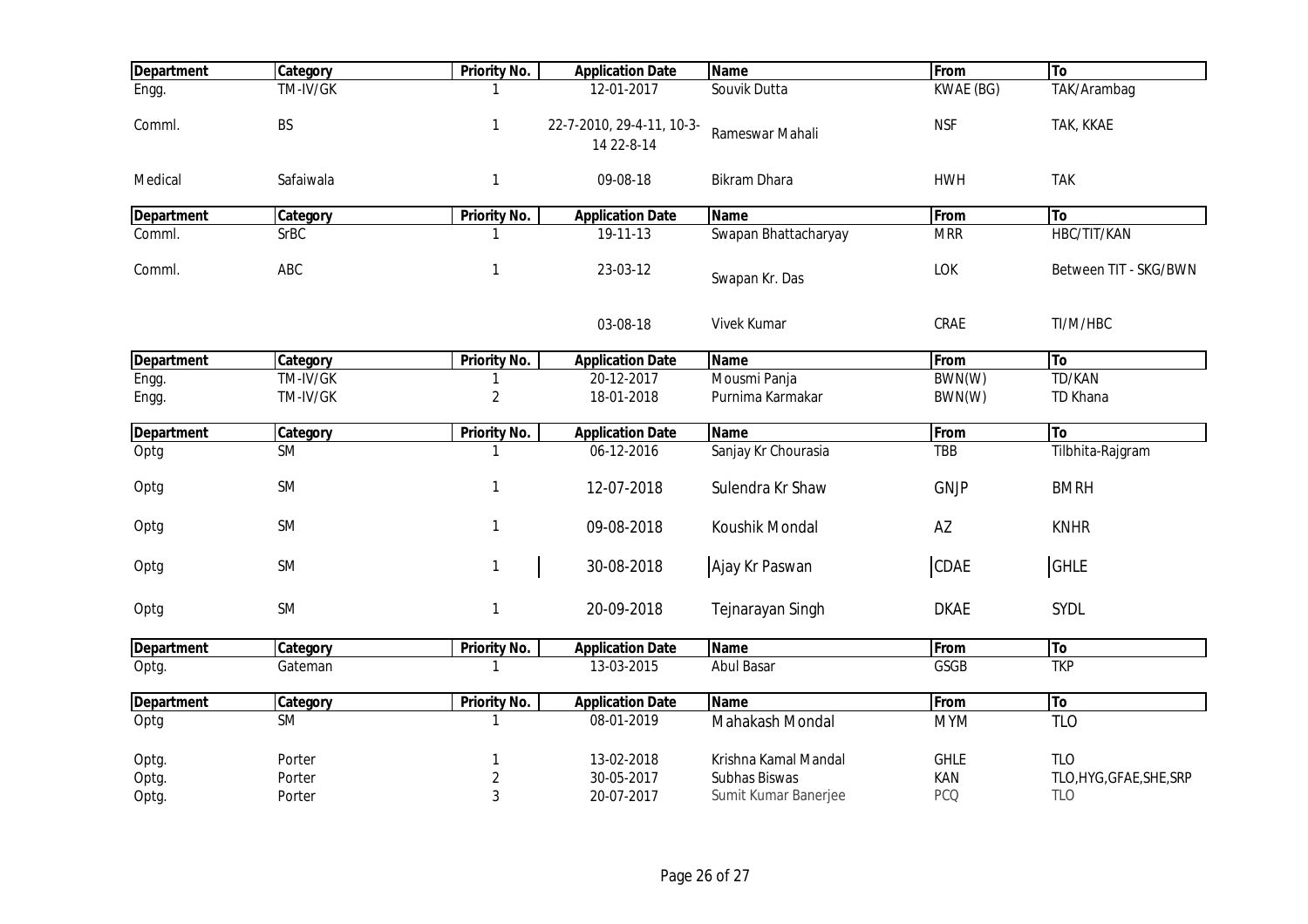| <b>Department</b> | Category    | <b>Priority No.</b> | <b>Application Date</b>                 | <b>Name</b>          | From        | To                       |
|-------------------|-------------|---------------------|-----------------------------------------|----------------------|-------------|--------------------------|
| Engg.             | TM-IV/GK    |                     | 12-01-2017                              | Souvik Dutta         | KWAE (BG)   | TAK/Arambag              |
| Comml.            | BS          | $\mathbf{1}$        | 22-7-2010, 29-4-11, 10-3-<br>14 22-8-14 | Rameswar Mahali      | <b>NSF</b>  | TAK, KKAE                |
| Medical           | Safaiwala   | $\mathbf{1}$        | 09-08-18                                | <b>Bikram Dhara</b>  | <b>HWH</b>  | <b>TAK</b>               |
| <b>Department</b> | Category    | <b>Priority No.</b> | <b>Application Date</b>                 | <b>Name</b>          | From        | To                       |
| Comml.            | <b>SrBC</b> |                     | 19-11-13                                | Swapan Bhattacharyay | <b>MRR</b>  | HBC/TIT/KAN              |
| Comml.            | ABC         | $\mathbf{1}$        | 23-03-12                                | Swapan Kr. Das       | LOK         | Between TIT - SKG/BWN    |
|                   |             |                     | 03-08-18                                | Vivek Kumar          | CRAE        | TI/M/HBC                 |
| Department        | Category    | <b>Priority No.</b> | <b>Application Date</b>                 | <b>Name</b>          | From        | To                       |
| Engg.             | TM-IV/GK    |                     | 20-12-2017                              | Mousmi Panja         | BWN(W)      | TD/KAN                   |
| Engg.             | TM-IV/GK    | 2                   | 18-01-2018                              | Purnima Karmakar     | BWN(W)      | TD Khana                 |
| <b>Department</b> | Category    | <b>Priority No.</b> | <b>Application Date</b>                 | <b>Name</b>          | From        | <b>To</b>                |
| Optg              | <b>SM</b>   |                     | 06-12-2016                              | Sanjay Kr Chourasia  | TBB         | Tilbhita-Rajgram         |
| Optg              | SM          | $\mathbf{1}$        | 12-07-2018                              | Sulendra Kr Shaw     | <b>GNJP</b> | <b>BMRH</b>              |
| Optg              | <b>SM</b>   | $\mathbf{1}$        | 09-08-2018                              | Koushik Mondal       | AZ          | <b>KNHR</b>              |
| Optg              | SM          | 1                   | 30-08-2018                              | Ajay Kr Paswan       | CDAE        | <b>GHLE</b>              |
| Optg              | <b>SM</b>   | $\mathbf{1}$        | 20-09-2018                              | Tejnarayan Singh     | <b>DKAE</b> | SYDL                     |
| Department        | Category    | <b>Priority No.</b> | <b>Application Date</b>                 | <b>Name</b>          | From        | To                       |
| Optg.             | Gateman     |                     | 13-03-2015                              | <b>Abul Basar</b>    | GSGB        | <b>TKP</b>               |
| <b>Department</b> | Category    | <b>Priority No.</b> | <b>Application Date</b>                 | <b>Name</b>          | From        | To                       |
| Optg              | <b>SM</b>   |                     | 08-01-2019                              | Mahakash Mondal      | <b>MYM</b>  | <b>TLO</b>               |
| Optg.             | Porter      | -1                  | 13-02-2018                              | Krishna Kamal Mandal | <b>GHLE</b> | <b>TLO</b>               |
| Optg.             | Porter      | $\overline{2}$      | 30-05-2017                              | Subhas Biswas        | KAN         | TLO, HYG, GFAE, SHE, SRP |
| Optg.             | Porter      | 3                   | 20-07-2017                              | Sumit Kumar Banerjee | <b>PCQ</b>  | <b>TLO</b>               |